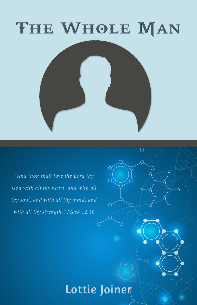

"And thou shalt love the Lord thy God with all thy heart, and with all thy soul, and with all thy mind, and with all thy strength." Mark 12:30

## Lottie Joiner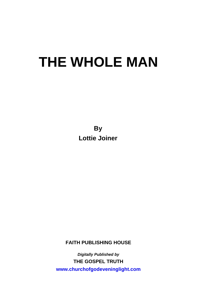**By Lottie Joiner** 

**FAITH PUBLISHING HOUSE** 

*Digitally Published by*  **THE GOSPEL TRUTH www.churchofgodeveninglight.com**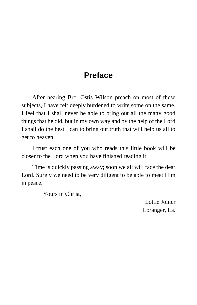## **Preface**

After hearing Bro. Ostis Wilson preach on most of these subjects, I have felt deeply burdened to write some on the same. I feel that I shall never be able to bring out all the many good things that he did, but in my own way and by the help of the Lord I shall do the best I can to bring out truth that will help us all to get to heaven.

I trust each one of you who reads this little book will be closer to the Lord when you have finished reading it.

Time is quickly passing away; soon we all will face the dear Lord. Surely we need to be very diligent to be able to meet Him in peace.

Yours in Christ,

Lottie Joiner Loranger, La.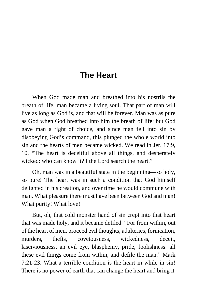## **The Heart**

When God made man and breathed into his nostrils the breath of life, man became a living soul. That part of man will live as long as God is, and that will be forever. Man was as pure as God when God breathed into him the breath of life; but God gave man a right of choice, and since man fell into sin by disobeying God's command, this plunged the whole world into sin and the hearts of men became wicked. We read in Jer. 17:9, 10, "The heart is deceitful above all things, and desperately wicked: who can know it? I the Lord search the heart."

Oh, man was in a beautiful state in the beginning—so holy, so pure! The heart was in such a condition that God himself delighted in his creation, and over time he would commune with man. What pleasure there must have been between God and man! What purity! What love!

But, oh, that cold monster hand of sin crept into that heart that was made holy, and it became defiled. "For from within, out of the heart of men, proceed evil thoughts, adulteries, fornication, murders, thefts, covetousness, wickedness, deceit, lasciviousness, an evil eye, blasphemy, pride, foolishness: all these evil things come from within, and defile the man." Mark 7:21-23. What a terrible condition is the heart in while in sin! There is no power of earth that can change the heart and bring it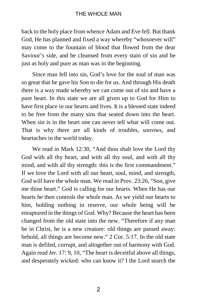back to the holy place from whence Adam and Eve fell. But thank God, He has planned and fixed a way whereby "whosoever will" may come to the fountain of blood that flowed from the dear Saviour's side, and be cleansed from every stain of sin and be just as holy and pure as man was in the beginning.

Since man fell into sin, God's love for the soul of man was so great that he gave his Son to die for us. And through His death there is a way made whereby we can come out of sin and have a pure heart. In this state we are all given up to God for Him to have first place in our hearts and lives. It is a blessed state indeed to be free from the many sins that seated down into the heart. When sin is in the heart one can never tell what will come out. That is why there are all kinds of troubles, sorrows, and heartaches in the world today.

We read in Mark 12:30, "And thou shalt love the Lord thy God with all thy heart, and with all thy soul, and with all thy mind, and with all thy strength: this is the first commandment." If we love the Lord with all our heart, soul, mind, and strength, God will have the whole man. We read in Prov. 23:26, "Son, give me thine heart." God is calling for our hearts. When He has our hearts he then controls the whole man. As we yield our hearts to him, holding nothing in reserve, our whole being will be enraptured in the things of God. Why? Because the heart has been changed from the old state into the new. "Therefore if any man be in Christ, he is a new creature: old things are passed away: behold, all things are become new." 2 Cor. 5:17. In the old state man is defiled, corrupt, and altogether out of harmony with God. Again read Jer. 17: 9, 10, "The heart is deceitful above all things, and desperately wicked: who can know it? I the Lord search the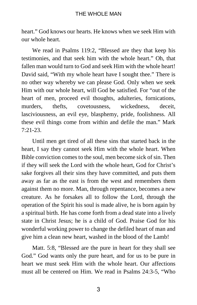heart." God knows our hearts. He knows when we seek Him with our whole heart.

We read in Psalms 119:2, "Blessed are they that keep his testimonies, and that seek him with the whole heart." Oh, that fallen man would turn to God and seek Him with the whole heart! David said, "With my whole heart have I sought thee." There is no other way whereby we can please God. Only when we seek Him with our whole heart, will God be satisfied. For "out of the heart of men, proceed evil thoughts, adulteries, fornications, murders, thefts, covetousness, wickedness, deceit, lasciviousness, an evil eye, blasphemy, pride, foolishness. All these evil things come from within and defile the man." Mark 7:21-23.

Until men get tired of all these sins that started back in the heart, I say they cannot seek Him with the whole heart. When Bible conviction comes to the soul, men become sick of sin. Then if they will seek the Lord with the whole heart, God for Christ's sake forgives all their sins they have committed, and puts them away as far as the east is from the west and remembers them against them no more. Man, through repentance, becomes a new creature. As he forsakes all to follow the Lord, through the operation of the Spirit his soul is made alive, he is born again by a spiritual birth. He has come forth from a dead state into a lively state in Christ Jesus; he is a child of God. Praise God for his wonderful working power to change the defiled heart of man and give him a clean new heart, washed in the blood of the Lamb!

Matt. 5:8, "Blessed are the pure in heart for they shall see God." God wants only the pure heart, and for us to be pure in heart we must seek Him with the whole heart. Our affections must all be centered on Him. We read in Psalms 24:3-5, "Who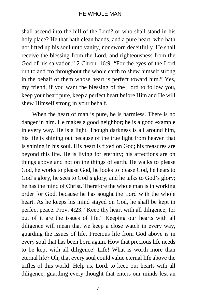shall ascend into the hill of the Lord? or who shall stand in his holy place? He that hath clean hands, and a pure heart; who hath not lifted up his soul unto vanity, nor sworn deceitfully. He shall receive the blessing from the Lord, and righteousness from the God of his salvation." 2 Chron. 16:9, "For the eyes of the Lord run to and fro throughout the whole earth to shew himself strong in the behalf of them whose heart is perfect toward him." Yes, my friend, if you want the blessing of the Lord to follow you, keep your heart pure, keep a perfect heart before Him and He will shew Himself strong in your behalf.

When the heart of man is pure, he is harmless. There is no danger in him. He makes a good neighbor; he is a good example in every way. He is a light. Though darkness is all around him, his life is shining out because of the true light from heaven that is shining in his soul. His heart is fixed on God; his treasures are beyond this life. He is living for eternity; his affections are on things above and not on the things of earth. He walks to please God, he works to please God, he looks to please God, he hears to God's glory, he sees to God's glory, and he talks to God's glory; he has the mind of Christ. Therefore the whole man is in working order for God, because he has sought the Lord with the whole heart. As he keeps his mind stayed on God, he shall be kept in perfect peace. Prov. 4:23. "Keep thy heart with all diligence; for out of it are the issues of life." Keeping our hearts with all diligence will mean that we keep a close watch in every way, guarding the issues of life. Precious life from God above is in every soul that has been born again. How that precious life needs to be kept with all diligence! Life! What is worth more than eternal life? Oh, that every soul could value eternal life above the trifles of this world! Help us, Lord, to keep our hearts with all diligence, guarding every thought that enters our minds lest an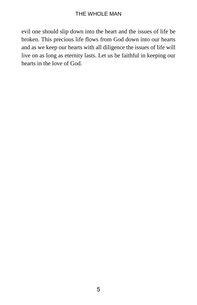evil one should slip down into the heart and the issues of life be broken. This precious life flows from God down into our hearts and as we keep our hearts with all diligence the issues of life will live on as long as eternity lasts. Let us be faithful in keeping our hearts in the love of God.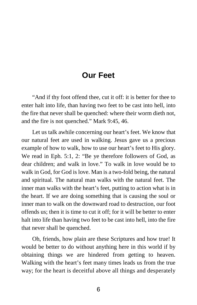## **Our Feet**

"And if thy foot offend thee, cut it off: it is better for thee to enter halt into life, than having two feet to be cast into hell, into the fire that never shall be quenched: where their worm dieth not, and the fire is not quenched." Mark 9:45, 46.

Let us talk awhile concerning our heart's feet. We know that our natural feet are used in walking. Jesus gave us a precious example of how to walk, how to use our heart's feet to His glory. We read in Eph. 5:1, 2: "Be ye therefore followers of God, as dear children; and walk in love." To walk in love would be to walk in God, for God is love. Man is a two-fold being, the natural and spiritual. The natural man walks with the natural feet. The inner man walks with the heart's feet, putting to action what is in the heart. If we are doing something that is causing the soul or inner man to walk on the downward road to destruction, our foot offends us; then it is time to cut it off; for it will be better to enter halt into life than having two feet to be cast into hell, into the fire that never shall be quenched.

Oh, friends, how plain are these Scriptures and how true! It would be better to do without anything here in this world if by obtaining things we are hindered from getting to heaven. Walking with the heart's feet many times leads us from the true way; for the heart is deceitful above all things and desperately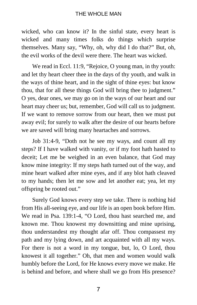wicked, who can know it? In the sinful state, every heart is wicked and many times folks do things which surprise themselves. Many say, "Why, oh, why did I do that?" But, oh, the evil works of the devil were there. The heart was wicked.

We read in Eccl. 11:9, "Rejoice, O young man, in thy youth: and let thy heart cheer thee in the days of thy youth, and walk in the ways of thine heart, and in the sight of thine eyes: but know thou, that for all these things God will bring thee to judgment." O yes, dear ones, we may go on in the ways of our heart and our heart may cheer us; but, remember, God will call us to judgment. If we want to remove sorrow from our heart, then we must put away evil; for surely to walk after the desire of our hearts before we are saved will bring many heartaches and sorrows.

Job 31:4-9, "Doth not he see my ways, and count all my steps? If I have walked with vanity, or if my foot hath hasted to deceit; Let me be weighed in an even balance, that God may know mine integrity: If my steps hath turned out of the way, and mine heart walked after mine eyes, and if any blot hath cleaved to my hands; then let me sow and let another eat; yea, let my offspring be rooted out."

Surely God knows every step we take. There is nothing hid from His all-seeing eye, and our life is an open book before Him. We read in Psa. 139:1-4, "O Lord, thou hast searched me, and known me. Thou knowest my downsitting and mine uprising, thou understandest my thought afar off. Thou compassest my path and my lying down, and art acquainted with all my ways. For there is not a word in my tongue, but, lo, O Lord, thou knowest it all together." Oh, that men and women would walk humbly before the Lord, for He knows every move we make. He is behind and before, and where shall we go from His presence?

7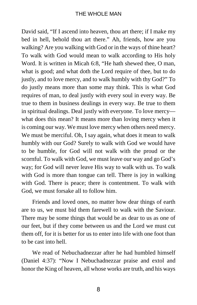David said, "If I ascend into heaven, thou art there; if I make my bed in hell, behold thou art there." Ah, friends, how are you walking? Are you walking with God or in the ways of thine heart? To walk with God would mean to walk according to His holy Word. It is written in Micah 6:8, "He hath shewed thee, O man, what is good; and what doth the Lord require of thee, but to do justly, and to love mercy, and to walk humbly with thy God?" To do justly means more than some may think. This is what God requires of man, to deal justly with every soul in every way. Be true to them in business dealings in every way. Be true to them in spiritual dealings. Deal justly with everyone. To love mercy what does this mean? It means more than loving mercy when it is coming our way. We must love mercy when others need mercy. We must be merciful. Oh, I say again, what does it mean to walk humbly with our God? Surely to walk with God we would have to be humble, for God will not walk with the proud or the scornful. To walk with God, we must leave our way and go God's way; for God will never leave His way to walk with us. To walk with God is more than tongue can tell. There is joy in walking with God. There is peace; there is contentment. To walk with God, we must forsake all to follow him.

Friends and loved ones, no matter how dear things of earth are to us, we must bid them farewell to walk with the Saviour. There may be some things that would be as dear to us as one of our feet, but if they come between us and the Lord we must cut them off, for it is better for us to enter into life with one foot than to be cast into hell.

We read of Nebuchadnezzar after he had humbled himself (Daniel 4:37): "Now I Nebuchadnezzar praise and extol and honor the King of heaven, all whose works are truth, and his ways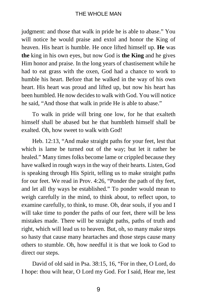judgment: and those that walk in pride he is able to abase." You will notice he would praise and extol and honor the King of heaven. His heart is humble. He once lifted himself up. **He** was **the** king in his own eyes, but now God is **the King** and he gives Him honor and praise. In the long years of chastisement while he had to eat grass with the oxen, God had a chance to work to humble his heart. Before that he walked in the way of his own heart. His heart was proud and lifted up, but now his heart has been humbled. He now decides to walk with God. You will notice he said, "And those that walk in pride He is able to abase."

To walk in pride will bring one low, for he that exalteth himself shall be abased but he that humbleth himself shall be exalted. Oh, how sweet to walk with God!

Heb. 12:13, "And make straight paths for your feet, lest that which is lame be turned out of the way; but let it rather be healed." Many times folks become lame or crippled because they have walked in rough ways in the way of their hearts. Listen, God is speaking through His Spirit, telling us to make straight paths for our feet. We read in Prov. 4:26, "Ponder the path of thy feet, and let all thy ways be established." To ponder would mean to weigh carefully in the mind, to think about, to reflect upon, to examine carefully, to think, to muse. Oh, dear souls, if you and I will take time to ponder the paths of our feet, there will be less mistakes made. There will be straight paths, paths of truth and right, which will lead us to heaven. But, oh, so many make steps so hasty that cause many heartaches and those steps cause many others to stumble. Oh, how needful it is that we look to God to direct our steps.

David of old said in Psa. 38:15, 16, "For in thee, O Lord, do I hope: thou wilt hear, O Lord my God. For I said, Hear me, lest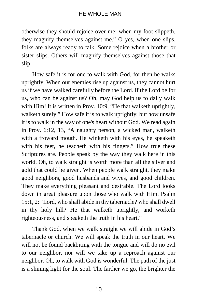otherwise they should rejoice over me: when my foot slippeth, they magnify themselves against me." O yes, when one slips, folks are always ready to talk. Some rejoice when a brother or sister slips. Others will magnify themselves against those that slip.

How safe it is for one to walk with God, for then he walks uprightly. When our enemies rise up against us, they cannot hurt us if we have walked carefully before the Lord. If the Lord be for us, who can be against us? Oh, may God help us to daily walk with Him! It is written in Prov. 10:9, "He that walketh uprightly, walketh surely." How safe it is to walk uprightly; but how unsafe it is to walk in the way of one's heart without God. We read again in Prov. 6:12, 13, "A naughty person, a wicked man, walketh with a froward mouth. He winketh with his eyes, he speaketh with his feet, he teacheth with his fingers." How true these Scriptures are. People speak by the way they walk here in this world. Oh, to walk straight is worth more than all the silver and gold that could be given. When people walk straight, they make good neighbors, good husbands and wives, and good children. They make everything pleasant and desirable. The Lord looks down in great pleasure upon those who walk with Him. Psalm 15:1, 2: "Lord, who shall abide in thy tabernacle? who shall dwell in thy holy hill? He that walketh uprightly, and worketh righteousness, and speaketh the truth in his heart."

Thank God, when we walk straight we will abide in God's tabernacle or church. We will speak the truth in our heart. We will not be found backbiting with the tongue and will do no evil to our neighbor, nor will we take up a reproach against our neighbor. Oh, to walk with God is wonderful. The path of the just is a shining light for the soul. The farther we go, the brighter the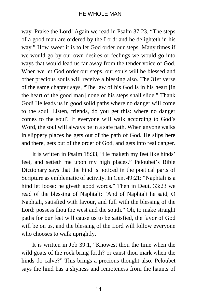way. Praise the Lord! Again we read in Psalm 37:23, "The steps of a good man are ordered by the Lord: and he delighteth in his way." How sweet it is to let God order our steps. Many times if we would go by our own desires or feelings we would go into ways that would lead us far away from the tender voice of God. When we let God order our steps, our souls will be blessed and other precious souls will receive a blessing also. The 31st verse of the same chapter says, "The law of his God is in his heart [in the heart of the good man] none of his steps shall slide." Thank God! He leads us in good solid paths where no danger will come to the soul. Listen, friends, do you get this: where no danger comes to the soul? If everyone will walk according to God's Word, the soul will always be in a safe path. When anyone walks in slippery places he gets out of the path of God. He slips here and there, gets out of the order of God, and gets into real danger.

It is written in Psalm 18:33, "He maketh my feet like hinds' feet, and setteth me upon my high places." Peloubet's Bible Dictionary says that the hind is noticed in the poetical parts of Scripture as emblematic of activity. In Gen. 49:21: "Naphtali is a hind let loose: he giveth good words." Then in Deut. 33:23 we read of the blessing of Naphtali: "And of Naphtali he said, O Naphtali, satisfied with favour, and full with the blessing of the Lord: possess thou the west and the south." Oh, to make straight paths for our feet will cause us to be satisfied, the favor of God will be on us, and the blessing of the Lord will follow everyone who chooses to walk uprightly.

It is written in Job 39:1, "Knowest thou the time when the wild goats of the rock bring forth? or canst thou mark when the hinds do calve?" This brings a precious thought also. Peloubet says the hind has a shyness and remoteness from the haunts of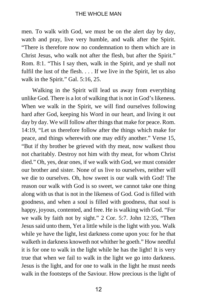men. To walk with God, we must be on the alert day by day, watch and pray, live very humble, and walk after the Spirit. "There is therefore now no condemnation to them which are in Christ Jesus, who walk not after the flesh, but after the Spirit." Rom. 8:1. "This I say then, walk in the Spirit, and ye shall not fulfil the lust of the flesh. . . . If we live in the Spirit, let us also walk in the Spirit." Gal. 5:16, 25.

Walking in the Spirit will lead us away from everything unlike God. There is a lot of walking that is not in God's likeness. When we walk in the Spirit, we will find ourselves following hard after God, keeping his Word in our heart, and living it out day by day. We will follow after things that make for peace. Rom. 14:19, "Let us therefore follow after the things which make for peace, and things wherewith one may edify another." Verse 15, "But if thy brother be grieved with thy meat, now walkest thou not charitably. Destroy not him with thy meat, for whom Christ died." Oh, yes, dear ones, if we walk with God, we must consider our brother and sister. None of us live to ourselves, neither will we die to ourselves. Oh, how sweet is our walk with God! The reason our walk with God is so sweet, we cannot take one thing along with us that is not in the likeness of God. God is filled with goodness, and when a soul is filled with goodness, that soul is happy, joyous, contented, and free. He is walking with God. "For we walk by faith not by sight." 2 Cor. 5:7. John 12:35, "Then Jesus said unto them, Yet a little while is the light with you. Walk while ye have the light, lest darkness come upon you: for he that walketh in darkness knoweth not whither he goeth." How needful it is for one to walk in the light while he has the light! It is very true that when we fail to walk in the light we go into darkness. Jesus is the light, and for one to walk in the light he must needs walk in the footsteps of the Saviour. How precious is the light of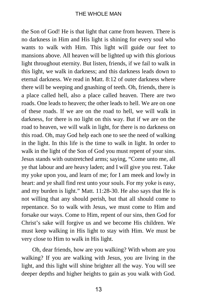the Son of God! He is that light that came from heaven. There is no darkness in Him and His light is shining for every soul who wants to walk with Him. This light will guide our feet to mansions above. All heaven will be lighted up with this glorious light throughout eternity. But listen, friends, if we fail to walk in this light, we walk in darkness; and this darkness leads down to eternal darkness. We read in Matt. 8:12 of outer darkness where there will be weeping and gnashing of teeth. Oh, friends, there is a place called hell, also a place called heaven. There are two roads. One leads to heaven; the other leads to hell. We are on one of these roads. If we are on the road to hell, we will walk in darkness, for there is no light on this way. But if we are on the road to heaven, we will walk in light, for there is no darkness on this road. Oh, may God help each one to see the need of walking in the light. In this life is the time to walk in light. In order to walk in the light of the Son of God you must repent of your sins. Jesus stands with outstretched arms; saying, "Come unto me, all ye that labour and are heavy laden; and I will give you rest. Take my yoke upon you, and learn of me; for I am meek and lowly in heart: and ye shall find rest unto your souls. For my yoke is easy, and my burden is light." Matt. 11:28-30. He also says that He is not willing that any should perish, but that all should come to repentance. So to walk with Jesus, we must come to Him and forsake our ways. Come to Him, repent of our sins, then God for Christ's sake will forgive us and we become His children. We must keep walking in His light to stay with Him. We must be very close to Him to walk in His light.

Oh, dear friends, how are you walking? With whom are you walking? If you are walking with Jesus, you are living in the light, and this light will shine brighter all the way. You will see deeper depths and higher heights to gain as you walk with God.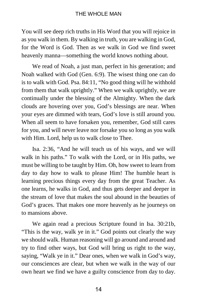You will see deep rich truths in His Word that you will rejoice in as you walk in them. By walking in truth, you are walking in God, for the Word is God. Then as we walk in God we find sweet heavenly manna—something the world knows nothing about.

We read of Noah, a just man, perfect in his generation; and Noah walked with God (Gen. 6:9). The wisest thing one can do is to walk with God. Psa. 84:11, "No good thing will he withhold from them that walk uprightly." When we walk uprightly, we are continually under the blessing of the Almighty. When the dark clouds are hovering over you, God's blessings are near. When your eyes are dimmed with tears, God's love is still around you. When all seem to have forsaken you, remember, God still cares for you, and will never leave nor forsake you so long as you walk with Him. Lord, help us to walk close to Thee.

Isa. 2:36, "And he will teach us of his ways, and we will walk in his paths." To walk with the Lord, or in His paths, we must be willing to be taught by Him. Oh, how sweet to learn from day to day how to walk to please Him! The humble heart is learning precious things every day from the great Teacher. As one learns, he walks in God, and thus gets deeper and deeper in the stream of love that makes the soul abound in the beauties of God's graces. That makes one more heavenly as he journeys on to mansions above.

We again read a precious Scripture found in Isa. 30:21b, "This is the way, walk ye in it." God points out clearly the way we should walk. Human reasoning will go around and around and try to find other ways, but God will bring us right to the way, saying, "Walk ye in it." Dear ones, when we walk in God's way, our consciences are clear, but when we walk in the way of our own heart we find we have a guilty conscience from day to day.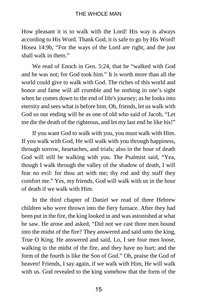How pleasant it is to walk with the Lord! His way is always according to His Word. Thank God, it is safe to go by His Word! Hosea 14:9b, "For the ways of the Lord are right, and the just shall walk in them."

We read of Enoch in Gen. 5:24, that he "walked with God and he was not; for God took him." It is worth more than all the world could give to walk with God. The riches of this world and honor and fame will all crumble and be nothing in one's sight when he comes down to the end of life's journey; as he looks into eternity and sees what is before him. Oh, friends, let us walk with God so our ending will be as one of old who said of Jacob, "Let me die the death of the righteous, and let my last end be like his!"

If you want God to walk with you, you must walk with Him. If you walk with God, He will walk with you through happiness, through sorrow, heartaches, and trials; also in the hour of death God will still be walking with you. The Psalmist said, "Yea, though I walk through the valley of the shadow of death, I will fear no evil: for thou art with me; thy rod and thy staff they comfort me." Yes, my friends, God will walk with us in the hour of death if we walk with Him.

In the third chapter of Daniel we read of three Hebrew children who were thrown into the fiery furnace. After they had been put in the fire, the king looked in and was astonished at what he saw. He arose and asked, "Did not we cast three men bound into the midst of the fire? They answered and said unto the king, True O King. He answered and said, Lo, I see four men loose, walking in the midst of the fire, and they have no hurt; and the form of the fourth is like the Son of God." Oh, praise the God of heaven! Friends, I say again, if we walk with Him, He will walk with us. God revealed to the king somehow that the form of the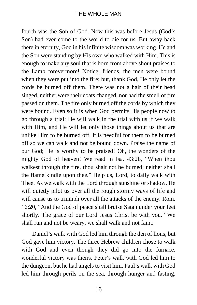fourth was the Son of God. Now this was before Jesus (God's Son) had ever come to the world to die for us. But away back there in eternity, God in his infinite wisdom was working. He and the Son were standing by His own who walked with Him. This is enough to make any soul that is born from above shout praises to the Lamb forevermore! Notice, friends, the men were bound when they were put into the fire; but, thank God, He only let the cords be burned off them. There was not a hair of their head singed, neither were their coats changed, nor had the smell of fire passed on them. The fire only burned off the cords by which they were bound. Even so it is when God permits His people now to go through a trial: He will walk in the trial with us if we walk with Him, and He will let only those things about us that are unlike Him to be burned off. It is needful for them to be burned off so we can walk and not be bound down. Praise the name of our God; He is worthy to be praised! Oh, the wonders of the mighty God of heaven! We read in Isa. 43:2b, "When thou walkest through the fire, thou shalt not be burned; neither shall the flame kindle upon thee." Help us, Lord, to daily walk with Thee. As we walk with the Lord through sunshine or shadow, He will quietly pilot us over all the rough stormy ways of life and will cause us to triumph over all the attacks of the enemy. Rom. 16:20, "And the God of peace shall bruise Satan under your feet shortly. The grace of our Lord Jesus Christ be with you." We shall run and not be weary, we shall walk and not faint.

Daniel's walk with God led him through the den of lions, but God gave him victory. The three Hebrew children chose to walk with God and even though they did go into the furnace, wonderful victory was theirs. Peter's walk with God led him to the dungeon, but he had angels to visit him. Paul's walk with God led him through perils on the sea, through hunger and fasting,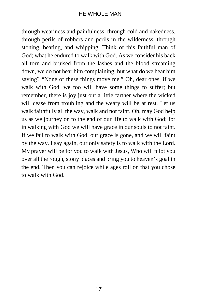through weariness and painfulness, through cold and nakedness, through perils of robbers and perils in the wilderness, through stoning, beating, and whipping. Think of this faithful man of God; what he endured to walk with God. As we consider his back all torn and bruised from the lashes and the blood streaming down, we do not hear him complaining; but what do we hear him saying? "None of these things move me." Oh, dear ones, if we walk with God, we too will have some things to suffer; but remember, there is joy just out a little farther where the wicked will cease from troubling and the weary will be at rest. Let us walk faithfully all the way, walk and not faint. Oh, may God help us as we journey on to the end of our life to walk with God; for in walking with God we will have grace in our souls to not faint. If we fail to walk with God, our grace is gone, and we will faint by the way. I say again, our only safety is to walk with the Lord. My prayer will be for you to walk with Jesus, Who will pilot you over all the rough, stony places and bring you to heaven's goal in the end. Then you can rejoice while ages roll on that you chose to walk with God.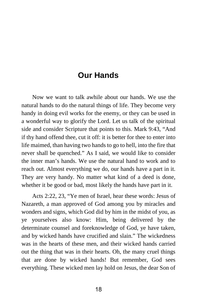### **Our Hands**

Now we want to talk awhile about our hands. We use the natural hands to do the natural things of life. They become very handy in doing evil works for the enemy, or they can be used in a wonderful way to glorify the Lord. Let us talk of the spiritual side and consider Scripture that points to this. Mark 9:43, "And if thy hand offend thee, cut it off: it is better for thee to enter into life maimed, than having two hands to go to hell, into the fire that never shall be quenched." As I said, we would like to consider the inner man's hands. We use the natural hand to work and to reach out. Almost everything we do, our hands have a part in it. They are very handy. No matter what kind of a deed is done, whether it be good or bad, most likely the hands have part in it.

Acts 2:22, 23, "Ye men of Israel, hear these words: Jesus of Nazareth, a man approved of God among you by miracles and wonders and signs, which God did by him in the midst of you, as ye yourselves also know: Him, being delivered by the determinate counsel and foreknowledge of God, ye have taken, and by wicked hands have crucified and slain." The wickedness was in the hearts of these men, and their wicked hands carried out the thing that was in their hearts. Oh, the many cruel things that are done by wicked hands! But remember, God sees everything. These wicked men lay hold on Jesus, the dear Son of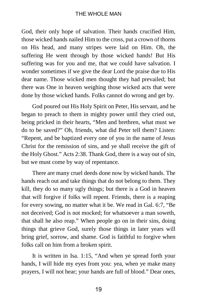God, their only hope of salvation. Their hands crucified Him, those wicked hands nailed Him to the cross, put a crown of thorns on His head, and many stripes were laid on Him. Oh, the suffering He went through by those wicked hands! But His suffering was for you and me, that we could have salvation. I wonder sometimes if we give the dear Lord the praise due to His dear name. Those wicked men thought they had prevailed; but there was One in heaven weighing those wicked acts that were done by those wicked hands. Folks cannot do wrong and get by.

God poured out His Holy Spirit on Peter, His servant, and he began to preach to them in mighty power until they cried out, being pricked in their hearts, "Men and brethren, what must we do to be saved?" Oh, friends, what did Peter tell them? Listen: "Repent, and be baptized every one of you in the name of Jesus Christ for the remission of sins, and ye shall receive the gift of the Holy Ghost." Acts 2:38. Thank God, there is a way out of sin, but we must come by way of repentance.

There are many cruel deeds done now by wicked hands. The hands reach out and take things that do not belong to them. They kill, they do so many ugly things; but there is a God in heaven that will forgive if folks will repent. Friends, there is a reaping for every sowing, no matter what it be. We read in Gal. 6:7, "Be not deceived; God is not mocked; for whatsoever a man soweth, that shall he also reap." When people go on in their sins, doing things that grieve God, surely those things in later years will bring grief, sorrow, and shame. God is faithful to forgive when folks call on him from a broken spirit.

It is written in Isa. 1:15, "And when ye spread forth your hands, I will hide my eyes from you: yea, when ye make many prayers, I will not hear; your hands are full of blood." Dear ones,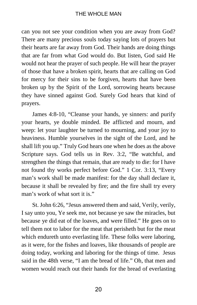can you not see your condition when you are away from God? There are many precious souls today saying lots of prayers but their hearts are far away from God. Their hands are doing things that are far from what God would do. But listen, God said He would not hear the prayer of such people. He will hear the prayer of those that have a broken spirit, hearts that are calling on God for mercy for their sins to be forgiven, hearts that have been broken up by the Spirit of the Lord, sorrowing hearts because they have sinned against God. Surely God hears that kind of prayers.

James 4:8-10, "Cleanse your hands, ye sinners: and purify your hearts, ye double minded. Be afflicted and mourn, and weep: let your laughter be turned to mourning, and your joy to heaviness. Humble yourselves in the sight of the Lord, and he shall lift you up." Truly God hears one when he does as the above Scripture says. God tells us in Rev. 3:2, "Be watchful, and strengthen the things that remain, that are ready to die: for I have not found thy works perfect before God." 1 Cor. 3:13, "Every man's work shall be made manifest: for the day shall declare it, because it shall be revealed by fire; and the fire shall try every man's work of what sort it is."

St. John 6:26, "Jesus answered them and said, Verily, verily, I say unto you, Ye seek me, not because ye saw the miracles, but because ye did eat of the loaves, and were filled." He goes on to tell them not to labor for the meat that perisheth but for the meat which endureth unto everlasting life. These folks were laboring, as it were, for the fishes and loaves, like thousands of people are doing today, working and laboring for the things of time. Jesus said in the 48th verse, "I am the bread of life." Oh, that men and women would reach out their hands for the bread of everlasting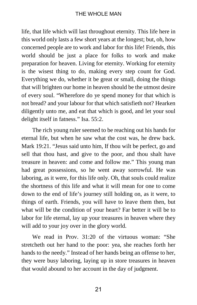life, that life which will last throughout eternity. This life here in this world only lasts a few short years at the longest; but, oh, how concerned people are to work and labor for this life! Friends, this world should be just a place for folks to work and make preparation for heaven. Living for eternity. Working for eternity is the wisest thing to do, making every step count for God. Everything we do, whether it be great or small, doing the things that will brighten our home in heaven should be the utmost desire of every soul. "Wherefore do ye spend money for that which is not bread? and your labour for that which satisfieth not? Hearken diligently unto me, and eat that which is good, and let your soul delight itself in fatness." Isa. 55:2.

The rich young ruler seemed to be reaching out his hands for eternal life, but when he saw what the cost was, he drew back. Mark 19:21. "Jesus said unto him, If thou wilt be perfect, go and sell that thou hast, and give to the poor, and thou shalt have treasure in heaven: and come and follow me." This young man had great possessions, so he went away sorrowful. He was laboring, as it were, for this life only. Oh, that souls could realize the shortness of this life and what it will mean for one to come down to the end of life's journey still holding on, as it were, to things of earth. Friends, you will have to leave them then, but what will be the condition of your heart? Far better it will be to labor for life eternal, lay up your treasures in heaven where they will add to your joy over in the glory world.

We read in Prov. 31:20 of the virtuous woman: "She stretcheth out her hand to the poor: yea, she reaches forth her hands to the needy." Instead of her hands being an offense to her, they were busy laboring, laying up in store treasures in heaven that would abound to her account in the day of judgment.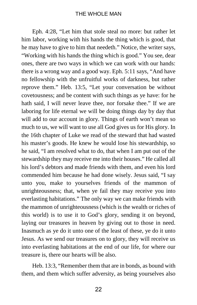Eph. 4:28, "Let him that stole steal no more: but rather let him labor, working with his hands the thing which is good, that he may have to give to him that needeth." Notice, the writer says, "Working with his hands the thing which is good." You see, dear ones, there are two ways in which we can work with our hands: there is a wrong way and a good way. Eph. 5:11 says, "And have no fellowship with the unfruitful works of darkness, but rather reprove them." Heb. 13:5, "Let your conversation be without covetousness; and be content with such things as ye have: for he hath said, I will never leave thee, nor forsake thee." If we are laboring for life eternal we will be doing things day by day that will add to our account in glory. Things of earth won't mean so much to us, we will want to use all God gives us for His glory. In the 16th chapter of Luke we read of the steward that had wasted his master's goods. He knew he would lose his stewardship, so he said, "I am resolved what to do, that when I am put out of the stewardship they may receive me into their houses." He called all his lord's debtors and made friends with them, and even his lord commended him because he had done wisely. Jesus said, "I say unto you, make to yourselves friends of the mammon of unrighteousness; that, when ye fail they may receive you into everlasting habitations." The only way we can make friends with the mammon of unrighteousness (which is the wealth or riches of this world) is to use it to God's glory, sending it on beyond, laying our treasures in heaven by giving out to those in need. Inasmuch as ye do it unto one of the least of these, ye do it unto Jesus. As we send our treasures on to glory, they will receive us into everlasting habitations at the end of our life, for where our treasure is, there our hearts will be also.

Heb. 13:3, "Remember them that are in bonds, as bound with them, and them which suffer adversity, as being yourselves also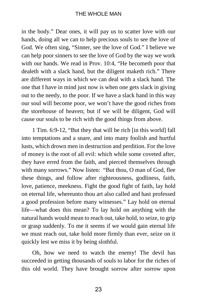in the body." Dear ones, it will pay us to scatter love with our hands, doing all we can to help precious souls to see the love of God. We often sing, "Sinner, see the love of God." I believe we can help poor sinners to see the love of God by the way we work with our hands. We read in Prov. 10:4, "He becometh poor that dealeth with a slack hand, but the diligent maketh rich." There are different ways in which we can deal with a slack hand. The one that I have in mind just now is when one gets slack in giving out to the needy, to the poor. If we have a slack hand in this way our soul will become poor, we won't have the good riches from the storehouse of heaven; but if we will be diligent, God will cause our souls to be rich with the good things from above.

1 Tim. 6:9-12, "But they that will be rich [in this world] fall into temptations and a snare, and into many foolish and hurtful lusts, which drown men in destruction and perdition. For the love of money is the root of all evil: which while some coveted after, they have erred from the faith, and pierced themselves through with many sorrows." Now listen: "But thou, O man of God, flee these things, and follow after righteousness, godliness, faith, love, patience, meekness. Fight the good fight of faith, lay hold on eternal life, whereunto thou art also called and hast professed a good profession before many witnesses." Lay hold on eternal life—what does this mean? To lay hold on anything with the natural hands would mean to reach out, take hold, to seize, to grip or grasp suddenly. To me it seems if we would gain eternal life we must reach out, take hold more firmly than ever, seize on it quickly lest we miss it by being slothful.

Oh, how we need to watch the enemy! The devil has succeeded in getting thousands of souls to labor for the riches of this old world. They have brought sorrow after sorrow upon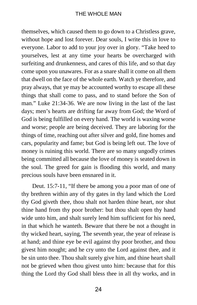themselves, which caused them to go down to a Christless grave, without hope and lost forever. Dear souls, I write this in love to everyone. Labor to add to your joy over in glory. "Take heed to yourselves, lest at any time your hearts be overcharged with surfeiting and drunkenness, and cares of this life, and so that day come upon you unawares. For as a snare shall it come on all them that dwell on the face of the whole earth. Watch ye therefore, and pray always, that ye may be accounted worthy to escape all these things that shall come to pass, and to stand before the Son of man." Luke 21:34-36. We are now living in the last of the last days; men's hearts are drifting far away from God; the Word of God is being fulfilled on every hand. The world is waxing worse and worse; people are being deceived. They are laboring for the things of time, reaching out after silver and gold, fine homes and cars, popularity and fame; but God is being left out. The love of money is ruining this world. There are so many ungodly crimes being committed all because the love of money is seated down in the soul. The greed for gain is flooding this world, and many precious souls have been ensnared in it.

Deut. 15:7-11, "If there be among you a poor man of one of thy brethren within any of thy gates in thy land which the Lord thy God giveth thee, thou shalt not harden thine heart, nor shut thine hand from thy poor brother: but thou shalt open thy hand wide unto him, and shalt surely lend him sufficient for his need, in that which he wanteth. Beware that there be not a thought in thy wicked heart, saying, The seventh year, the year of release is at hand; and thine eye be evil against thy poor brother, and thou givest him nought; and he cry unto the Lord against thee, and it be sin unto thee. Thou shalt surely give him, and thine heart shall not be grieved when thou givest unto him: because that for this thing the Lord thy God shall bless thee in all thy works, and in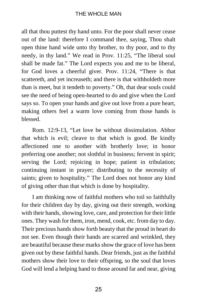all that thou puttest thy hand unto. For the poor shall never cease out of the land: therefore I command thee, saying, Thou shalt open thine hand wide unto thy brother, to thy poor, and to thy needy, in thy land." We read in Prov. 11:25, "The liberal soul shall be made fat." The Lord expects you and me to be liberal, for God loves a cheerful giver. Prov. 11:24, "There is that scattereth, and yet increaseth; and there is that withholdeth more than is meet, but it tendeth to poverty." Oh, that dear souls could see the need of being open-hearted to do and give when the Lord says so. To open your hands and give out love from a pure heart, making others feel a warm love coming from those hands is blessed.

Rom. 12:9-13, "Let love be without dissimulation. Abhor that which is evil; cleave to that which is good. Be kindly affectioned one to another with brotherly love; in honor preferring one another; not slothful in business; fervent in spirit; serving the Lord; rejoicing in hope; patient in tribulation; continuing instant in prayer; distributing to the necessity of saints; given to hospitality." The Lord does not honor any kind of giving other than that which is done by hospitality.

I am thinking now of faithful mothers who toil so faithfully for their children day by day, giving out their strength, working with their hands, showing love, care, and protection for their little ones. They wash for them, iron, mend, cook, etc. from day to day. Their precious hands show forth beauty that the proud in heart do not see. Even though their hands are scarred and wrinkled, they are beautiful because these marks show the grace of love has been given out by these faithful hands. Dear friends, just as the faithful mothers show their love to their offspring, so the soul that loves God will lend a helping hand to those around far and near, giving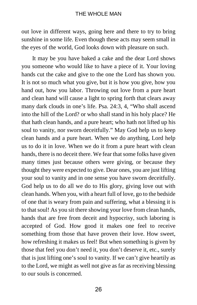out love in different ways, going here and there to try to bring sunshine in some life. Even though these acts may seem small in the eyes of the world, God looks down with pleasure on such.

It may be you have baked a cake and the dear Lord shows you someone who would like to have a piece of it. Your loving hands cut the cake and give to the one the Lord has shown you. It is not so much what you give, but it is how you give, how you hand out, how you labor. Throwing out love from a pure heart and clean hand will cause a light to spring forth that clears away many dark clouds in one's life. Psa. 24:3, 4, "Who shall ascend into the hill of the Lord? or who shall stand in his holy place? He that hath clean hands, and a pure heart; who hath not lifted up his soul to vanity, nor sworn deceitfully." May God help us to keep clean hands and a pure heart. When we do anything, Lord help us to do it in love. When we do it from a pure heart with clean hands, there is no deceit there. We fear that some folks have given many times just because others were giving, or because they thought they were expected to give. Dear ones, you are just lifting your soul to vanity and in one sense you have sworn deceitfully. God help us to do all we do to His glory, giving love out with clean hands. When you, with a heart full of love, go to the bedside of one that is weary from pain and suffering, what a blessing it is to that soul! As you sit there showing your love from clean hands, hands that are free from deceit and hypocrisy, such laboring is accepted of God. How good it makes one feel to receive something from those that have proven their love. How sweet, how refreshing it makes us feel! But when something is given by those that feel you don't need it, you don't deserve it, etc., surely that is just lifting one's soul to vanity. If we can't give heartily as to the Lord, we might as well not give as far as receiving blessing to our souls is concerned.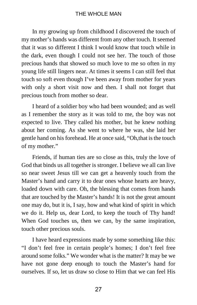In my growing up from childhood I discovered the touch of my mother's hands was different from any other touch. It seemed that it was so different I think I would know that touch while in the dark, even though I could not see her. The touch of those precious hands that showed so much love to me so often in my young life still lingers near. At times it seems I can still feel that touch so soft even though I've been away from mother for years with only a short visit now and then. I shall not forget that precious touch from mother so dear.

I heard of a soldier boy who had been wounded; and as well as I remember the story as it was told to me, the boy was not expected to live. They called his mother, but he knew nothing about her coming. As she went to where he was, she laid her gentle hand on his forehead. He at once said, "Oh,that is the touch of my mother."

Friends, if human ties are so close as this, truly the love of God that binds us all together is stronger. I believe we all can live so near sweet Jesus till we can get a heavenly touch from the Master's hand and carry it to dear ones whose hearts are heavy, loaded down with care. Oh, the blessing that comes from hands that are touched by the Master's hands! It is not the great amount one may do, but it is, I say, how and what kind of spirit in which we do it. Help us, dear Lord, to keep the touch of Thy hand! When God touches us, then we can, by the same inspiration, touch other precious souls.

I have heard expressions made by some something like this: "I don't feel free in certain people's homes; I don't feel free around some folks." We wonder what is the matter? It may be we have not gone deep enough to touch the Master's hand for ourselves. If so, let us draw so close to Him that we can feel His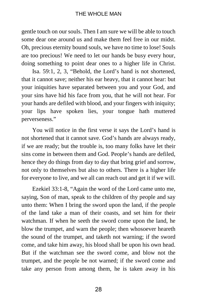gentle touch on our souls. Then I am sure we will be able to touch some dear one around us and make them feel free in our midst. Oh, precious eternity bound souls, we have no time to lose! Souls are too precious! We need to let our hands be busy every hour, doing something to point dear ones to a higher life in Christ.

Isa. 59:1, 2, 3, "Behold, the Lord's hand is not shortened, that it cannot save; neither his ear heavy, that it cannot hear: but your iniquities have separated between you and your God, and your sins have hid his face from you, that he will not hear. For your hands are defiled with blood, and your fingers with iniquity; your lips have spoken lies, your tongue hath muttered perverseness."

You will notice in the first verse it says the Lord's hand is not shortened that it cannot save. God's hands are always ready, if we are ready; but the trouble is, too many folks have let their sins come in between them and God. People's hands are defiled, hence they do things from day to day that bring grief and sorrow, not only to themselves but also to others. There is a higher life for everyone to live, and we all can reach out and get it if we will.

Ezekiel 33:1-8, "Again the word of the Lord came unto me, saying, Son of man, speak to the children of thy people and say unto them: When I bring the sword upon the land, if the people of the land take a man of their coasts, and set him for their watchman. If when he seeth the sword come upon the land, he blow the trumpet, and warn the people; then whosoever heareth the sound of the trumpet, and taketh not warning; if the sword come, and take him away, his blood shall be upon his own head. But if the watchman see the sword come, and blow not the trumpet, and the people be not warned; if the sword come and take any person from among them, he is taken away in his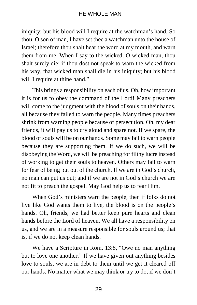iniquity; but his blood will I require at the watchman's hand. So thou, O son of man, I have set thee a watchman unto the house of Israel; therefore thou shalt hear the word at my mouth, and warn them from me. When I say to the wicked, O wicked man, thou shalt surely die; if thou dost not speak to warn the wicked from his way, that wicked man shall die in his iniquity; but his blood will I require at thine hand."

This brings a responsibility on each of us. Oh, how important it is for us to obey the command of the Lord! Many preachers will come to the judgment with the blood of souls on their hands, all because they failed to warn the people. Many times preachers shrink from warning people because of persecution. Oh, my dear friends, it will pay us to cry aloud and spare not. If we spare, the blood of souls will be on our hands. Some may fail to warn people because they are supporting them. If we do such, we will be disobeying the Word, we will be preaching for filthy lucre instead of working to get their souls to heaven. Others may fail to warn for fear of being put out of the church. If we are in God's church, no man can put us out; and if we are not in God's church we are not fit to preach the gospel. May God help us to fear Him.

When God's ministers warn the people, then if folks do not live like God wants them to live, the blood is on the people's hands. Oh, friends, we had better keep pure hearts and clean hands before the Lord of heaven. We all have a responsibility on us, and we are in a measure responsible for souls around us; that is, if we do not keep clean hands.

We have a Scripture in Rom. 13:8, "Owe no man anything but to love one another." If we have given out anything besides love to souls, we are in debt to them until we get it cleared off our hands. No matter what we may think or try to do, if we don't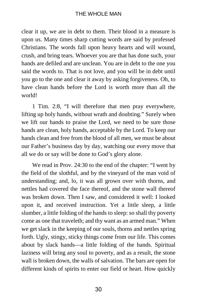clear it up, we are in debt to them. Their blood in a measure is upon us. Many times sharp cutting words are said by professed Christians. The words fall upon heavy hearts and will wound, crush, and bring tears. Whoever you are that has done such, your hands are defiled and are unclean. You are in debt to the one you said the words to. That is not love, and you will be in debt until you go to the one and clear it away by asking forgiveness. Oh, to have clean hands before the Lord is worth more than all the world!

1 Tim. 2:8, "I will therefore that men pray everywhere, lifting up holy hands, without wrath and doubting." Surely when we lift our hands to praise the Lord, we need to be sure those hands are clean, holy hands, acceptable by the Lord. To keep our hands clean and free from the blood of all men, we must be about our Father's business day by day, watching our every move that all we do or say will be done to God's glory alone.

We read in Prov. 24:30 to the end of the chapter: "I went by the field of the slothful, and by the vineyard of the man void of understanding; and, lo, it was all grown over with thorns, and nettles had covered the face thereof, and the stone wall thereof was broken down. Then I saw, and considered it well: I looked upon it, and received instruction. Yet a little sleep, a little slumber, a little folding of the hands to sleep: so shall thy poverty come as one that traveleth; and thy want as an armed man." When we get slack in the keeping of our souls, thorns and nettles spring forth. Ugly, stingy, sticky things come from our life. This comes about by slack hands—a little folding of the hands. Spiritual laziness will bring any soul to poverty, and as a result, the stone wall is broken down, the walls of salvation. The bars are open for different kinds of spirits to enter our field or heart. How quickly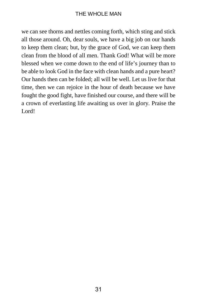we can see thorns and nettles coming forth, which sting and stick all those around. Oh, dear souls, we have a big job on our hands to keep them clean; but, by the grace of God, we can keep them clean from the blood of all men. Thank God! What will be more blessed when we come down to the end of life's journey than to be able to look God in the face with clean hands and a pure heart? Our hands then can be folded; all will be well. Let us live for that time, then we can rejoice in the hour of death because we have fought the good fight, have finished our course, and there will be a crown of everlasting life awaiting us over in glory. Praise the Lord!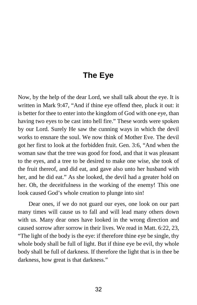# **The Eye**

Now, by the help of the dear Lord, we shall talk about the eye. It is written in Mark 9:47, "And if thine eye offend thee, pluck it out: it is better for thee to enter into the kingdom of God with one eye, than having two eyes to be cast into hell fire." These words were spoken by our Lord. Surely He saw the cunning ways in which the devil works to ensnare the soul. We now think of Mother Eve. The devil got her first to look at the forbidden fruit. Gen. 3:6, "And when the woman saw that the tree was good for food, and that it was pleasant to the eyes, and a tree to be desired to make one wise, she took of the fruit thereof, and did eat, and gave also unto her husband with her, and he did eat." As she looked, the devil had a greater hold on her. Oh, the deceitfulness in the working of the enemy! This one look caused God's whole creation to plunge into sin!

Dear ones, if we do not guard our eyes, one look on our part many times will cause us to fall and will lead many others down with us. Many dear ones have looked in the wrong direction and caused sorrow after sorrow in their lives. We read in Matt. 6:22, 23, "The light of the body is the eye: if therefore thine eye be single, thy whole body shall be full of light. But if thine eye be evil, thy whole body shall be full of darkness. If therefore the light that is in thee be darkness, how great is that darkness."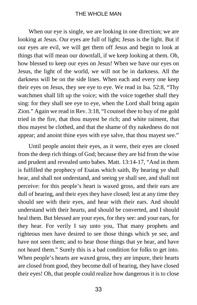#### THE WHOLE MAN

When our eye is single, we are looking in one direction; we are looking at Jesus. Our eyes are full of light; Jesus is the light. But if our eyes are evil, we will get them off Jesus and begin to look at things that will mean our downfall, if we keep looking at them. Oh, how blessed to keep our eyes on Jesus! When we have our eyes on Jesus, the light of the world, we will not be in darkness. All the darkness will be on the side lines. When each and every one keep their eyes on Jesus, they see eye to eye. We read in Isa. 52:8, "Thy watchmen shall lift up the voice; with the voice together shall they sing: for they shall see eye to eye, when the Lord shall bring again Zion." Again we read in Rev. 3:18, "I counsel thee to buy of me gold tried in the fire, that thou mayest be rich; and white raiment, that thou mayest be clothed, and that the shame of thy nakedness do not appear; and anoint thine eyes with eye salve, that thou mayest see."

Until people anoint their eyes, as it were, their eyes are closed from the deep rich things of God; because they are hid from the wise and prudent and revealed unto babes. Matt. 13:14-17, "And in them is fulfilled the prophecy of Esaias which saith, By hearing ye shall hear, and shall not understand, and seeing ye shall see, and shall not perceive: for this people's heart is waxed gross, and their ears are dull of hearing, and their eyes they have closed; lest at any time they should see with their eyes, and hear with their ears. And should understand with their hearts, and should be converted, and I should heal them. But blessed are your eyes, for they see: and your ears, for they hear. For verily I say unto you, That many prophets and righteous men have desired to see those things which ye see, and have not seen them; and to hear those things that ye hear, and have not heard them." Surely this is a bad condition for folks to get into. When people's hearts are waxed gross, they are impure, their hearts are closed from good, they become dull of hearing, they have closed their eyes! Oh, that people could realize how dangerous it is to close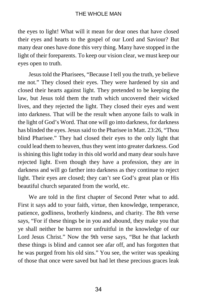the eyes to light! What will it mean for dear ones that have closed their eyes and hearts to the gospel of our Lord and Saviour? But many dear ones have done this very thing. Many have stopped in the light of their foreparents. To keep our vision clear, we must keep our eyes open to truth.

Jesus told the Pharisees, "Because I tell you the truth, ye believe me not." They closed their eyes. They were hardened by sin and closed their hearts against light. They pretended to be keeping the law, but Jesus told them the truth which uncovered their wicked lives, and they rejected the light. They closed their eyes and went into darkness. That will be the result when anyone fails to walk in the light of God's Word. That one will go into darkness, for darkness has blinded the eyes. Jesus said to the Pharisee in Matt. 23:26, "Thou blind Pharisee." They had closed their eyes to the only light that could lead them to heaven, thus they went into greater darkness. God is shining this light today in this old world and many dear souls have rejected light. Even though they have a profession, they are in darkness and will go farther into darkness as they continue to reject light. Their eyes are closed; they can't see God's great plan or His beautiful church separated from the world, etc.

We are told in the first chapter of Second Peter what to add. First it says add to your faith, virtue, then knowledge, temperance, patience, godliness, brotherly kindness, and charity. The 8th verse says, "For if these things be in you and abound, they make you that ye shall neither be barren nor unfruitful in the knowledge of our Lord Jesus Christ." Now the 9th verse says, "But he that lacketh these things is blind and cannot see afar off, and has forgotten that he was purged from his old sins." You see, the writer was speaking of those that once were saved but had let these precious graces leak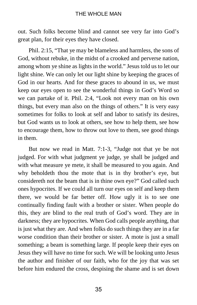out. Such folks become blind and cannot see very far into God's great plan, for their eyes they have closed.

Phil. 2:15, "That ye may be blameless and harmless, the sons of God, without rebuke, in the midst of a crooked and perverse nation, among whom ye shine as lights in the world." Jesus told us to let our light shine. We can only let our light shine by keeping the graces of God in our hearts. And for these graces to abound in us, we must keep our eyes open to see the wonderful things in God's Word so we can partake of it. Phil. 2:4, "Look not every man on his own things, but every man also on the things of others." It is very easy sometimes for folks to look at self and labor to satisfy its desires, but God wants us to look at others, see how to help them, see how to encourage them, how to throw out love to them, see good things in them.

But now we read in Matt. 7:1-3, "Judge not that ye be not judged. For with what judgment ye judge, ye shall be judged and with what measure ye mete, it shall be measured to you again. And why beholdeth thou the mote that is in thy brother's eye, but considereth not the beam that is in thine own eye?" God called such ones hypocrites. If we could all turn our eyes on self and keep them there, we would be far better off. How ugly it is to see one continually finding fault with a brother or sister. When people do this, they are blind to the real truth of God's word. They are in darkness; they are hypocrites. When God calls people anything, that is just what they are. And when folks do such things they are in a far worse condition than their brother or sister. A mote is just a small something; a beam is something large. If people keep their eyes on Jesus they will have no time for such. We will be looking unto Jesus the author and finisher of our faith, who for the joy that was set before him endured the cross, despising the shame and is set down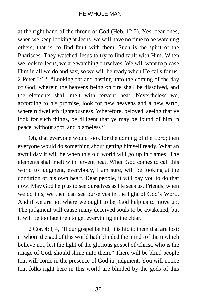at the right hand of the throne of God (Heb. 12:2). Yes, dear ones, when we keep looking at Jesus, we will have no time to be watching others; that is, to find fault with them. Such is the spirit of the Pharisees. They watched Jesus to try to find fault with Him. When we look to Jesus, we are watching ourselves. We will want to please Him in all we do and say, so we will be ready when He calls for us. 2 Peter 3:12, "Looking for and hasting unto the coming of the day of God, wherein the heavens being on fire shall be dissolved, and the elements shall melt with fervent heat. Nevertheless we, according to his promise, look for new heavens and a new earth, wherein dwelleth righteousness. Wherefore, beloved, seeing that ye look for such things, be diligent that ye may be found of him in peace, without spot, and blameless."

Oh, that everyone would look for the coming of the Lord; then everyone would do something about getting himself ready. What an awful day it will be when this old world will go up in flames! The elements shall melt with fervent heat. When God comes to call this world to judgment, everybody, I am sure, will be looking at the condition of his own heart. Dear people, it will pay you to do that now. May God help us to see ourselves as He sees us. Friends, when we do this, we then can see ourselves in the light of God's Word. And if we are not where we ought to be, God help us to move up. The judgment will cause many deceived souls to be awakened, but it will be too late then to get everything in the clear.

2 Cor. 4:3, 4, "If our gospel be hid, it is hid to them that are lost: in whom the god of this world hath blinded the minds of them which believe not, lest the light of the glorious gospel of Christ, who is the image of God, should shine unto them." There will be blind people that will come in the presence of God in judgment. You will notice that folks right here in this world are blinded by the gods of this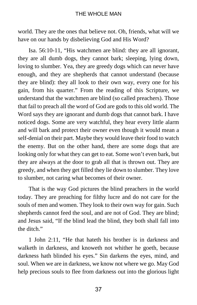world. They are the ones that believe not. Oh, friends, what will we have on our hands by disbelieving God and His Word?

Isa. 56:10-11, "His watchmen are blind: they are all ignorant, they are all dumb dogs, they cannot bark; sleeping, lying down, loving to slumber. Yea, they are greedy dogs which can never have enough, and they are shepherds that cannot understand (because they are blind): they all look to their own way, every one for his gain, from his quarter." From the reading of this Scripture, we understand that the watchmen are blind (so called preachers). Those that fail to preach all the word of God are gods to this old world. The Word says they are ignorant and dumb dogs that cannot bark. I have noticed dogs. Some are very watchful, they hear every little alarm and will bark and protect their owner even though it would mean a self-denial on their part. Maybe they would leave their food to watch the enemy. But on the other hand, there are some dogs that are looking only for what they can get to eat. Some won't even bark, but they are always at the door to grab all that is thrown out. They are greedy, and when they get filled they lie down to slumber. They love to slumber, not caring what becomes of their owner.

That is the way God pictures the blind preachers in the world today. They are preaching for filthy lucre and do not care for the souls of men and women. They look to their own way for gain. Such shepherds cannot feed the soul, and are not of God. They are blind; and Jesus said, "If the blind lead the blind, they both shall fall into the ditch."

1 John 2:11, "He that hateth his brother is in darkness and walketh in darkness, and knoweth not whither he goeth, because darkness hath blinded his eyes." Sin darkens the eyes, mind, and soul. When we are in darkness, we know not where we go. May God help precious souls to flee from darkness out into the glorious light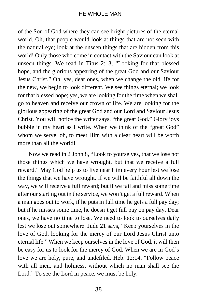### THE WHOLE MAN

of the Son of God where they can see bright pictures of the eternal world. Oh, that people would look at things that are not seen with the natural eye; look at the unseen things that are hidden from this world! Only those who come in contact with the Saviour can look at unseen things. We read in Titus 2:13, "Looking for that blessed hope, and the glorious appearing of the great God and our Saviour Jesus Christ." Oh, yes, dear ones, when we change the old life for the new, we begin to look different. We see things eternal; we look for that blessed hope; yes, we are looking for the time when we shall go to heaven and receive our crown of life. We are looking for the glorious appearing of the great God and our Lord and Saviour Jesus Christ. You will notice the writer says, "the great God." Glory joys bubble in my heart as I write. When we think of the "great God" whom we serve, oh, to meet Him with a clear heart will be worth more than all the world!

Now we read in 2 John 8, "Look to yourselves, that we lose not those things which we have wrought, but that we receive a full reward." May God help us to live near Him every hour lest we lose the things that we have wrought. If we will be faithful all down the way, we will receive a full reward; but if we fail and miss some time after our starting out in the service, we won't get a full reward. When a man goes out to work, if he puts in full time he gets a full pay day; but if he misses some time, he doesn't get full pay on pay day. Dear ones, we have no time to lose. We need to look to ourselves daily lest we lose out somewhere. Jude 21 says, "Keep yourselves in the love of God, looking for the mercy of our Lord Jesus Christ unto eternal life." When we keep ourselves in the love of God, it will then be easy for us to look for the mercy of God. When we are in God's love we are holy, pure, and undefiled. Heb. 12:14, "Follow peace with all men, and holiness, without which no man shall see the Lord." To see the Lord in peace, we must be holy.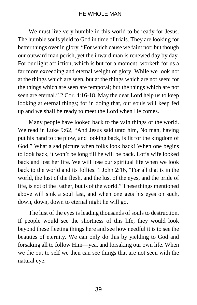We must live very humble in this world to be ready for Jesus. The humble souls yield to God in time of trials. They are looking for better things over in glory. "For which cause we faint not; but though our outward man perish, yet the inward man is renewed day by day. For our light affliction, which is but for a moment, worketh for us a far more exceeding and eternal weight of glory. While we look not at the things which are seen, but at the things which are not seen: for the things which are seen are temporal; but the things which are not seen are eternal." 2 Cor. 4:16-18. May the dear Lord help us to keep looking at eternal things; for in doing that, our souls will keep fed up and we shall be ready to meet the Lord when He comes.

Many people have looked back to the vain things of the world. We read in Luke 9:62, "And Jesus said unto him, No man, having put his hand to the plow, and looking back, is fit for the kingdom of God." What a sad picture when folks look back! When one begins to look back, it won't be long till he will be back. Lot's wife looked back and lost her life. We will lose our spiritual life when we look back to the world and its follies. 1 John 2:16, "For all that is in the world, the lust of the flesh, and the lust of the eyes, and the pride of life, is not of the Father, but is of the world." These things mentioned above will sink a soul fast, and when one gets his eyes on such, down, down, down to eternal night he will go.

The lust of the eyes is leading thousands of souls to destruction. If people would see the shortness of this life, they would look beyond these fleeting things here and see how needful it is to see the beauties of eternity. We can only do this by yielding to God and forsaking all to follow Him—yea, and forsaking our own life. When we die out to self we then can see things that are not seen with the natural eye.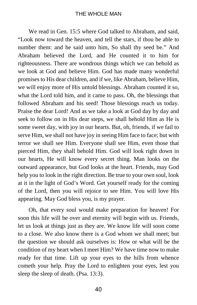We read in Gen. 15:5 where God talked to Abraham, and said. "Look now toward the heaven, and tell the stars, if thou be able to number them: and he said unto him, So shall thy seed be." And Abraham believed the Lord, and He counted it to him for righteousness. There are wondrous things which we can behold as we look at God and believe Him. God has made many wonderful promises to His dear children, and if we, like Abraham, believe Him, we will enjoy more of His untold blessings. Abraham counted it so, what the Lord told him, and it came to pass. Oh, the blessings that followed Abraham and his seed! Those blessings reach us today. Praise the dear Lord! And as we take a look at God day by day and seek to follow on in His dear steps, we shall behold Him as He is some sweet day, with joy in our hearts. But, oh, friends, if we fail to serve Him, we shall not have joy in seeing Him face to face; but with terror we shall see Him. Everyone shall see Him, even those that pierced Him, they shall behold Him. God will look right down in our hearts, He will know every secret thing. Man looks on the outward appearance, but God looks at the heart. Friends, may God help you to look in the right direction. Be true to your own soul, look at it in the light of God's Word. Get yourself ready for the coming of the Lord, then you will rejoice to see Him. You will love His appearing. May God bless you, is my prayer.

Oh, that every soul would make preparation for heaven! For soon this life will be over and eternity will begin with us. Friends, let us look at things just as they are. We know life will soon come to a close. We also know there is a God whom we shall meet; but the question we should ask ourselves is: How or what will be the condition of my heart when I meet Him? We have time now to make ready for that time. Lift up your eyes to the hills from whence cometh your help. Pray the Lord to enlighten your eyes, lest you sleep the sleep of death. (Psa. 13:3).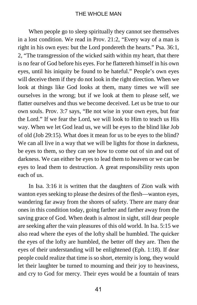When people go to sleep spiritually they cannot see themselves in a lost condition. We read in Prov. 21:2, "Every way of a man is right in his own eyes: but the Lord pondereth the hearts." Psa. 36:1, 2, "The transgression of the wicked saith within my heart, that there is no fear of God before his eyes. For he flattereth himself in his own eyes, until his iniquity be found to be hateful." People's own eyes will deceive them if they do not look in the right direction. When we look at things like God looks at them, many times we will see ourselves in the wrong; but if we look at them to please self, we flatter ourselves and thus we become deceived. Let us be true to our own souls. Prov. 3:7 says, "Be not wise in your own eyes, but fear the Lord." If we fear the Lord, we will look to Him to teach us His way. When we let God lead us, we will be eyes to the blind like Job of old (Job 29:15). What does it mean for us to be eyes to the blind? We can all live in a way that we will be lights for those in darkness, be eyes to them, so they can see how to come out of sin and out of darkness. We can either be eyes to lead them to heaven or we can be eyes to lead them to destruction. A great responsibility rests upon each of us.

In Isa. 3:16 it is written that the daughters of Zion walk with wanton eyes seeking to please the desires of the flesh—wanton eyes, wandering far away from the shores of safety. There are many dear ones in this condition today, going farther and farther away from the saving grace of God. When death is almost in sight, still dear people are seeking after the vain pleasures of this old world. In Isa. 5:15 we also read where the eyes of the lofty shall be humbled. The quicker the eyes of the lofty are humbled, the better off they are. Then the eyes of their understanding will be enlightened (Eph. 1:18). If dear people could realize that time is so short, eternity is long, they would let their laughter be turned to mourning and their joy to heaviness, and cry to God for mercy. Their eyes would be a fountain of tears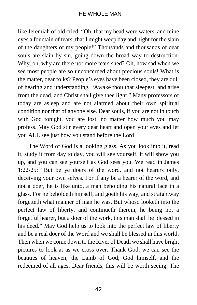### THE WHOLE MAN

like Jeremiah of old cried, "Oh, that my head were waters, and mine eyes a fountain of tears, that I might weep day and night for the slain of the daughters of my people!" Thousands and thousands of dear souls are slain by sin, going down the broad way to destruction. Why, oh, why are there not more tears shed? Oh, how sad when we see most people are so unconcerned about precious souls! What is the matter, dear folks? People's eyes have been closed, they are dull of hearing and understanding. "Awake thou that sleepest, and arise from the dead, and Christ shall give thee light." Many professors of today are asleep and are not alarmed about their own spiritual condition nor that of anyone else. Dear souls, if you are not in touch with God tonight, you are lost, no matter how much you may profess. May God stir every dear heart and open your eyes and let you ALL see just how you stand before the Lord!

The Word of God is a looking glass. As you look into it, read it, study it from day to day, you will see yourself. It will show you up, and you can see yourself as God sees you. We read in James 1:22-25: "But be ye doers of the word, and not hearers only, deceiving your own selves. For if any be a hearer of the word, and not a doer, he is like unto, a man beholding his natural face in a glass. For he beholdeth himself, and goeth his way, and straightway forgetteth what manner of man he was. But whoso looketh into the perfect law of liberty, and continueth therein, he being not a forgetful hearer, but a doer of the work, this man shall be blessed in his deed." May God help us to look into the perfect law of liberty and be a real doer of the Word and we shall be blessed in this world. Then when we come down to the River of Death we shall have bright pictures to look at as we cross over. Thank God, we can see the beauties of heaven, the Lamb of God, God himself, and the redeemed of all ages. Dear friends, this will be worth seeing. The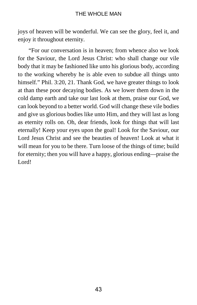joys of heaven will be wonderful. We can see the glory, feel it, and enjoy it throughout eternity.

"For our conversation is in heaven; from whence also we look for the Saviour, the Lord Jesus Christ: who shall change our vile body that it may be fashioned like unto his glorious body, according to the working whereby he is able even to subdue all things unto himself." Phil. 3:20, 21. Thank God, we have greater things to look at than these poor decaying bodies. As we lower them down in the cold damp earth and take our last look at them, praise our God, we can look beyond to a better world. God will change these vile bodies and give us glorious bodies like unto Him, and they will last as long as eternity rolls on. Oh, dear friends, look for things that will last eternally! Keep your eyes upon the goal! Look for the Saviour, our Lord Jesus Christ and see the beauties of heaven! Look at what it will mean for you to be there. Turn loose of the things of time; build for eternity; then you will have a happy, glorious ending—praise the Lord!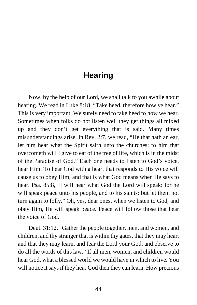### **Hearing**

Now, by the help of our Lord, we shall talk to you awhile about hearing. We read in Luke 8:18, "Take heed, therefore how ye hear." This is very important. We surely need to take heed to how we hear. Sometimes when folks do not listen well they get things all mixed up and they don't get everything that is said. Many times misunderstandings arise. In Rev. 2:7, we read, "He that hath an ear, let him hear what the Spirit saith unto the churches; to him that overcometh will I give to eat of the tree of life, which is in the midst of the Paradise of God." Each one needs to listen to God's voice, hear Him. To hear God with a heart that responds to His voice will cause us to obey Him; and that is what God means when He says to hear. Psa. 85:8, "I will hear what God the Lord will speak: for he will speak peace unto his people, and to his saints: but let them not turn again to folly." Oh, yes, dear ones, when we listen to God, and obey Him, He will speak peace. Peace will follow those that hear the voice of God.

Deut. 31:12, "Gather the people together, men, and women, and children, and thy stranger that is within thy gates, that they may hear, and that they may learn, and fear the Lord your God, and observe to do all the words of this law." If all men, women, and children would hear God, what a blessed world we would have in which to live. You will notice it says if they hear God then they can learn. How precious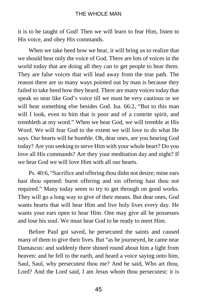it is to be taught of God! Then we will learn to fear Him, listen to His voice, and obey His commands.

When we take heed how we hear, it will bring us to realize that we should hear only the voice of God. There are lots of voices in the world today that are doing all they can to get people to hear them. They are false voices that will lead away from the true path. The reason there are so many ways pointed out by man is because they failed to take heed how they heard. There are many voices today that speak so near like God's voice till we must be very cautious or we will hear something else besides God. Isa. 66:2, "But to this man will I look, even to him that is poor and of a contrite spirit, and trembleth at my word." When we hear God, we will tremble at His Word. We will fear God to the extent we will love to do what He says. Our hearts will be humble. Oh, dear ones, are you hearing God today? Are you seeking to serve Him with your whole heart? Do you love all His commands? Are they your meditation day and night? If we hear God we will love Him with all our hearts.

Ps. 40:6, "Sacrifice and offering thou didst not desire; mine ears hast thou opened: burnt offering and sin offering hast thou not required." Many today seem to try to get through on good works. They will go a long way to give of their means. But dear ones, God wants hearts that will hear Him and live holy lives every day. He wants your ears open to hear Him. One may give all he possesses and lose his soul. We must hear God to be ready to meet Him.

Before Paul got saved, he persecuted the saints and caused many of them to give their lives. But "as he journeyed, he came near Damascus: and suddenly there shined round about him a light from heaven: and he fell to the earth, and heard a voice saying unto him, Saul, Saul, why persecutest thou me? And he said, Who art thou, Lord? And the Lord said, I am Jesus whom thou persecutest: it is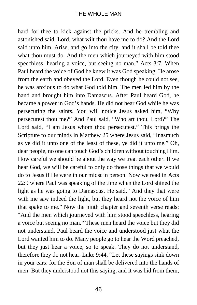hard for thee to kick against the pricks. And he trembling and astonished said, Lord, what wilt thou have me to do? And the Lord said unto him, Arise, and go into the city, and it shall be told thee what thou must do. And the men which journeyed with him stood speechless, hearing a voice, but seeing no man." Acts 3:7. When Paul heard the voice of God he knew it was God speaking. He arose from the earth and obeyed the Lord. Even though he could not see, he was anxious to do what God told him. The men led him by the hand and brought him into Damascus. After Paul heard God, he became a power in God's hands. He did not hear God while he was persecuting the saints. You will notice Jesus asked him, "Why persecutest thou me?" And Paul said, "Who art thou, Lord?" The Lord said, "I am Jesus whom thou persecutest." This brings the Scripture to our minds in Matthew 25 where Jesus said, "Inasmuch as ye did it unto one of the least of these, ye did it unto me." Oh, dear people, no one can touch God's children without touching Him. How careful we should be about the way we treat each other. If we hear God, we will be careful to only do those things that we would do to Jesus if He were in our midst in person. Now we read in Acts 22:9 where Paul was speaking of the time when the Lord shined the light as he was going to Damascus. He said, "And they that were with me saw indeed the light, but they heard not the voice of him that spake to me." Now the ninth chapter and seventh verse reads: "And the men which journeyed with him stood speechless, hearing a voice but seeing no man." These men heard the voice but they did not understand. Paul heard the voice and understood just what the Lord wanted him to do. Many people go to hear the Word preached, but they just hear a voice, so to speak. They do not understand, therefore they do not hear. Luke 9:44, "Let these sayings sink down in your ears: for the Son of man shall be delivered into the hands of men: But they understood not this saying, and it was hid from them,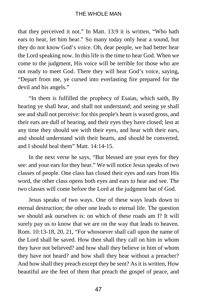that they perceived it not." In Matt. 13:9 it is written, "Who hath ears to hear, let him hear." So many today only hear a sound, but they do not know God's voice. Oh, dear people, we had better hear the Lord speaking now. In this life is the time to hear God. When we come to the judgment, His voice will be terrible for those who are not ready to meet God. There they will hear God's voice, saying, "Depart from me, ye cursed into everlasting fire prepared for the devil and his angels."

"In them is fulfilled the prophecy of Esaias, which saith, By hearing ye shall hear, and shall not understand; and seeing ye shall see and shall not perceive: for this people's heart is waxed gross, and their ears are dull of hearing, and their eyes they have closed; lest at any time they should see with their eyes, and hear with their ears, and should understand with their hearts, and should be converted, and I should heal them" Matt. 14:14-15.

In the next verse he says, "But blessed are your eyes for they see: and your ears for they hear." We will notice Jesus speaks of two classes of people. One class has closed their eyes and ears from His word, the other class opens both eyes and ears to hear and see. The two classes will come before the Lord at the judgment bar of God.

Jesus speaks of two ways. One of these ways leads down to eternal destruction; the other one leads to eternal life. The question we should ask ourselves is: on which of these roads am I? It will surely pay us to know that we are on the way that leads to heaven. Rom. 10:13-18, 20, 21, "For whosoever shall call upon the name of the Lord shall be saved. How then shall they call on him in whom they have not believed? and how shall they believe in him of whom they have not heard? and how shall they hear without a preacher? And how shall they preach except they be sent? As it is written, How beautiful are the feet of them that preach the gospel of peace, and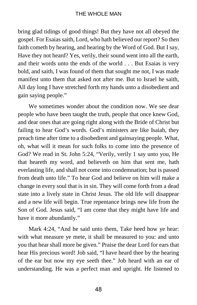bring glad tidings of good things! But they have not all obeyed the gospel. For Esaias saith, Lord, who hath believed our report? So then faith cometh by hearing, and hearing by the Word of God. But I say, Have they not heard? Yes, verily, their sound went into all the earth, and their words unto the ends of the world . . . But Esaias is very bold, and saith, I was found of them that sought me not, I was made manifest unto them that asked not after me. But to Israel he saith, All day long I have stretched forth my hands unto a disobedient and gain saying people."

We sometimes wonder about the condition now. We see dear people who have been taught the truth, people that once knew God, and dear ones that are going right along with the Bride of Christ but failing to hear God's words. God's ministers are like Isaiah, they preach time after time to a disobedient and gainsaying people. What, oh, what will it mean for such folks to come into the presence of God? We read in St. John 5:24, "Verily, verily 1 say unto you, He that heareth my word, and believeth on him that sent me, hath everlasting life, and shall not come into condemnation; but is passed from death unto life." To hear God and believe on him will make a change in every soul that is in sin. They will come forth from a dead state into a lively state in Christ Jesus. The old life will disappear and a new life will begin. True repentance brings new life from the Son of God. Jesus said, "I am come that they might have life and have it more abundantly."

Mark 4:24, "And he said unto them, Take heed how ye hear: with what measure ye mete, it shall be measured to you: and unto you that hear shall more be given." Praise the dear Lord for ears that hear His precious word! Job said, "I have heard thee by the hearing of the ear but now my eye seeth thee." Job heard with an ear of understanding. He was a perfect man and upright. He listened to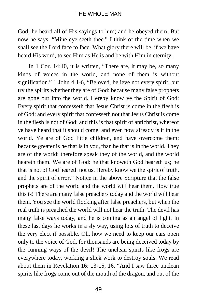God; he heard all of His sayings to him; and he obeyed them. But now he says, "Mine eye seeth thee." I think of the time when we shall see the Lord face to face. What glory there will be, if we have heard His word, to see Him as He is and be with Him in eternity.

In 1 Cor. 14:10, it is written, "There are, it may be, so many kinds of voices in the world, and none of them is without signification." 1 John 4:1-6, "Beloved, believe not every spirit, but try the spirits whether they are of God: because many false prophets are gone out into the world. Hereby know ye the Spirit of God: Every spirit that confesseth that Jesus Christ is come in the flesh is of God: and every spirit that confesseth not that Jesus Christ is come in the flesh is not of God: and this is that spirit of antichrist, whereof ye have heard that it should come; and even now already is it in the world. Ye are of God little children, and have overcome them: because greater is he that is in you, than he that is in the world. They are of the world: therefore speak they of the world, and the world heareth them. We are of God: he that knoweth God heareth us; he that is not of God heareth not us. Hereby know we the spirit of truth, and the spirit of error." Notice in the above Scripture that the false prophets are of the world and the world will hear them. How true this is! There are many false preachers today and the world will hear them. You see the world flocking after false preachers, but when the real truth is preached the world will not hear the truth. The devil has many false ways today, and he is coming as an angel of light. In these last days he works in a sly way, using lots of truth to deceive the very elect if possible. Oh, how we need to keep our ears open only to the voice of God, for thousands are being deceived today by the cunning ways of the devil! The unclean spirits like frogs are everywhere today, working a slick work to destroy souls. We read about them in Revelation 16: 13-15, 16, "And I saw three unclean spirits like frogs come out of the mouth of the dragon, and out of the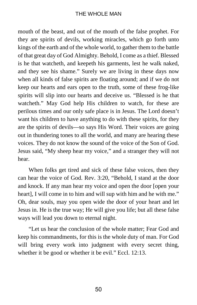mouth of the beast, and out of the mouth of the false prophet. For they are spirits of devils, working miracles, which go forth unto kings of the earth and of the whole world, to gather them to the battle of that great day of God Almighty. Behold, I come as a thief. Blessed is he that watcheth, and keepeth his garments, lest he walk naked, and they see his shame." Surely we are living in these days now when all kinds of false spirits are floating around; and if we do not keep our hearts and ears open to the truth, some of these frog-like spirits will slip into our hearts and deceive us. "Blessed is he that watcheth." May God help His children to watch, for these are perilous times and our only safe place is in Jesus. The Lord doesn't want his children to have anything to do with these spirits, for they are the spirits of devils—so says His Word. Their voices are going out in thundering tones to all the world, and many are hearing these voices. They do not know the sound of the voice of the Son of God. Jesus said, "My sheep hear my voice," and a stranger they will not hear.

When folks get tired and sick of these false voices, then they can hear the voice of God. Rev. 3:20, "Behold, I stand at the door and knock. If any man hear my voice and open the door [open your heart], I will come in to him and will sup with him and he with me." Oh, dear souls, may you open wide the door of your heart and let Jesus in. He is the true way; He will give you life; but all these false ways will lead you down to eternal night.

"Let us hear the conclusion of the whole matter; Fear God and keep his commandments, for this is the whole duty of man. For God will bring every work into judgment with every secret thing, whether it be good or whether it be evil." Eccl. 12:13.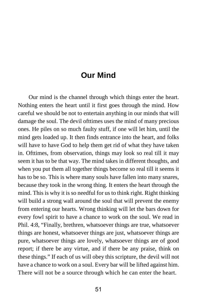## **Our Mind**

Our mind is the channel through which things enter the heart. Nothing enters the heart until it first goes through the mind. How careful we should be not to entertain anything in our minds that will damage the soul. The devil ofttimes uses the mind of many precious ones. He piles on so much faulty stuff, if one will let him, until the mind gets loaded up. It then finds entrance into the heart, and folks will have to have God to help them get rid of what they have taken in. Ofttimes, from observation, things may look so real till it may seem it has to be that way. The mind takes in different thoughts, and when you put them all together things become so real till it seems it has to be so. This is where many souls have fallen into many snares, because they took in the wrong thing. It enters the heart through the mind. This is why it is so needful for us to think right. Right thinking will build a strong wall around the soul that will prevent the enemy from entering our hearts. Wrong thinking will let the bars down for every fowl spirit to have a chance to work on the soul. We read in Phil. 4:8, "Finally, brethren, whatsoever things are true, whatsoever things are honest, whatsoever things are just, whatsoever things are pure, whatsoever things are lovely, whatsoever things are of good report; if there be any virtue, and if there be any praise, think on these things." If each of us will obey this scripture, the devil will not have a chance to work on a soul. Every bar will be lifted against him. There will not be a source through which he can enter the heart.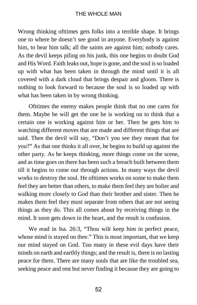Wrong thinking ofttimes gets folks into a terrible shape. It brings one to where he doesn't see good in anyone. Everybody is against him, to hear him talk; all the saints are against him; nobody cares. As the devil keeps piling on his junk, this one begins to doubt God and His Word. Faith leaks out, hope is gone, and the soul is so loaded up with what has been taken in through the mind until it is all covered with a dark cloud that brings despair and gloom. There is nothing to look forward to because the soul is so loaded up with what has been taken in by wrong thinking.

Ofttimes the enemy makes people think that no one cares for them. Maybe he will get the one he is working on to think that a certain one is working against him or her. Then he gets him to watching different moves that are made and different things that are said. Then the devil will say, "Don't you see they meant that for you?" As that one thinks it all over, he begins to build up against the other party. As he keeps thinking, more things come on the scene, and as time goes on there has been such a breach built between them till it begins to come out through actions. In many ways the devil works to destroy the soul. He ofttimes works on some to make them feel they are better than others, to make them feel they are holier and walking more closely to God than their brother and sister. Then he makes them feel they must separate from others that are not seeing things as they do. This all comes about by receiving things in the mind. It soon gets down in the heart, and the result is confusion.

We read in Isa. 26:3, "Thou wilt keep him in perfect peace, whose mind is stayed on thee." This is most important, that we keep our mind stayed on God. Too many in these evil days have their minds on earth and earthly things; and the result is, there is no lasting peace for them. There are many souls that are like the troubled sea, seeking peace and rest but never finding it because they are going to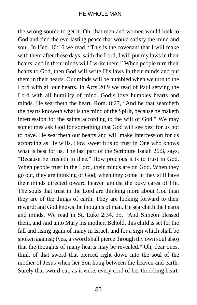the wrong source to get it. Oh, that men and women would look to God and find the everlasting peace that would satisfy the mind and soul. In Heb. 10:16 we read, "This is the covenant that I will make with them after those days, saith the Lord, I will put my laws in their hearts, and in their minds will I write them." When people turn their hearts to God, then God will write His laws in their minds and put them in their hearts. Our minds will be humbled when we turn to the Lord with all our hearts. In Acts 20:9 we read of Paul serving the Lord with all humility of mind. God's love humbles hearts and minds. He searcheth the heart. Rom. 8:27, "And he that searcheth the hearts knoweth what is the mind of the Spirit, because he maketh intercession for the saints according to the will of God." We may sometimes ask God for something that God will see best for us not to have. He searcheth our hearts and will make intercession for us according as He wills. How sweet it is to trust in One who knows what is best for us. The last part of the Scripture Isaiah 26:3, says, "Because he trusteth in thee." How precious it is to trust in God. When people trust in the Lord, their minds are on God. When they go out, they are thinking of God; when they come in they still have their minds directed toward heaven amidst the busy cares of life. The souls that trust in the Lord are thinking more about God than they are of the things of earth. They are looking forward to their reward; and God knows the thoughts of man. He searcheth the hearts and minds. We read in St. Luke 2:34, 35, "And Simeon blessed them, and said unto Mary his mother, Behold, this child is set for the fall and rising again of many in Israel; and for a sign which shall be spoken against; (yea, a sword shall pierce through thy own soul also) that the thoughts of many hearts may be revealed." Oh, dear ones, think of that sword that pierced right down into the soul of the mother of Jesus when her Son hung between the heaven and earth. Surely that sword cut, as it were, every cord of her throbbing heart.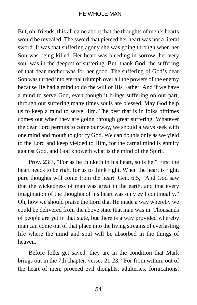### THE WHOLE MAN

But, oh, friends, this all came about that the thoughts of men's hearts would be revealed. The sword that pierced her heart was not a literal sword. It was that suffering agony she was going through when her Son was being killed. Her heart was bleeding in sorrow, her very soul was in the deepest of suffering. But, thank God, the suffering of that dear mother was for her good. The suffering of God's dear Son was turned into eternal triumph over all the powers of the enemy because He had a mind to do the will of His Father. And if we have a mind to serve God, even though it brings suffering on our part, through our suffering many times souls are blessed. May God help us to keep a mind to serve Him. The best that is in folks ofttimes comes out when they are going through great suffering. Whatever the dear Lord permits to come our way, we should always seek with one mind and mouth to glorify God. We can do this only as we yield to the Lord and keep yielded to Him, for the carnal mind is enmity against God, and God knoweth what is the mind of the Spirit.

Prov. 23:7, "For as he thinketh in his heart, so is he." First the heart needs to be right for us to think right. When the heart is right, pure thoughts will come from the heart. Gen. 6:5, "And God saw that the wickedness of man was great in the earth, and that every imagination of the thoughts of his heart was only evil continually." Oh, how we should praise the Lord that He made a way whereby we could be delivered from the above state that man was in. Thousands of people are yet in that state, but there is a way provided whereby man can come out of that place into the living streams of everlasting life where the mind and soul will be absorbed in the things of heaven.

Before folks get saved, they are in the condition that Mark brings out in the 7th chapter, verses 21-23, "For from within, out of the heart of men, proceed evil thoughts, adulteries, fornications,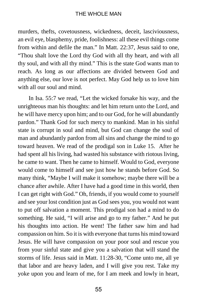murders, thefts, covetousness, wickedness, deceit, lasciviousness, an evil eye, blasphemy, pride, foolishness: all these evil things come from within and defile the man." In Matt. 22:37, Jesus said to one, "Thou shalt love the Lord thy God with all thy heart, and with all thy soul, and with all thy mind." This is the state God wants man to reach. As long as our affections are divided between God and anything else, our love is not perfect. May God help us to love him with all our soul and mind.

In Isa. 55:7 we read, "Let the wicked forsake his way, and the unrighteous man his thoughts: and let him return unto the Lord, and he will have mercy upon him; and to our God, for he will abundantly pardon." Thank God for such mercy to mankind. Man in his sinful state is corrupt in soul and mind, but God can change the soul of man and abundantly pardon from all sins and change the mind to go toward heaven. We read of the prodigal son in Luke 15. After he had spent all his living, had wasted his substance with riotous living, he came to want. Then he came to himself. Would to God, everyone would come to himself and see just how he stands before God. So many think, "Maybe I will make it somehow; maybe there will be a chance after awhile. After I have had a good time in this world, then I can get right with God." Oh, friends, if you would come to yourself and see your lost condition just as God sees you, you would not want to put off salvation a moment. This prodigal son had a mind to do something. He said, "I will arise and go to my father." And he put his thoughts into action. He went! The father saw him and had compassion on him. So it is with everyone that turns his mind toward Jesus. He will have compassion on your poor soul and rescue you from your sinful state and give you a salvation that will stand the storms of life. Jesus said in Matt. 11:28-30, "Come unto me, all ye that labor and are heavy laden, and I will give you rest. Take my yoke upon you and learn of me, for I am meek and lowly in heart,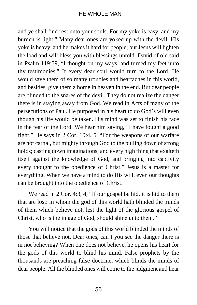and ye shall find rest unto your souls. For my yoke is easy, and my burden is light." Many dear ones are yoked up with the devil. His yoke is heavy, and he makes it hard for people; but Jesus will lighten the load and will bless you with blessings untold. David of old said in Psalm 119:59, "I thought on my ways, and turned my feet unto thy testimonies." If every dear soul would turn to the Lord, He would save them of so many troubles and heartaches in this world, and besides, give them a home in heaven in the end. But dear people are blinded to the snares of the devil. They do not realize the danger there is in staying away from God. We read in Acts of many of the persecutions of Paul. He purposed in his heart to do God's will even though his life would be taken. His mind was set to finish his race in the fear of the Lord. We hear him saying, "I have fought a good fight." He says in 2 Cor. 10:4, 5, "For the weapons of our warfare are not carnal, but mighty through God to the pulling down of strong holds; casting down imaginations, and every high thing that exalteth itself against the knowledge of God, and bringing into captivity every thought to the obedience of Christ." Jesus is a master for everything. When we have a mind to do His will, even our thoughts can be brought into the obedience of Christ.

We read in 2 Cor. 4:3, 4, "If our gospel be hid, it is hid to them that are lost: in whom the god of this world hath blinded the minds of them which believe not, lest the light of the glorious gospel of Christ, who is the image of God, should shine unto them."

You will notice that the gods of this world blinded the minds of those that believe not. Dear ones, can't you see the danger there is in not believing? When one does not believe, he opens his heart for the gods of this world to blind his mind. False prophets by the thousands are preaching false doctrine, which blinds the minds of dear people. All the blinded ones will come to the judgment and hear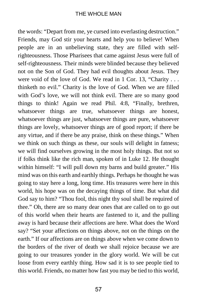the words: "Depart from me, ye cursed into everlasting destruction." Friends, may God stir your hearts and help you to believe! When people are in an unbelieving state, they are filled with selfrighteousness. Those Pharisees that came against Jesus were full of self-righteousness. Their minds were blinded because they believed not on the Son of God. They had evil thoughts about Jesus. They were void of the love of God. We read in 1 Cor. 13, "Charity . . . thinketh no evil." Charity is the love of God. When we are filled with God's love, we will not think evil. There are so many good things to think! Again we read Phil. 4:8, "Finally, brethren, whatsoever things are true, whatsoever things are honest, whatsoever things are just, whatsoever things are pure, whatsoever things are lovely, whatsoever things are of good report; if there be any virtue, and if there be any praise, think on these things." When we think on such things as these, our souls will delight in fatness; we will find ourselves growing in the most holy things. But not so if folks think like the rich man, spoken of in Luke 12. He thought within himself: "I will pull down my barns and build greater." His mind was on this earth and earthly things. Perhaps he thought he was going to stay here a long, long time. His treasures were here in this world, his hope was on the decaying things of time. But what did God say to him? "Thou fool, this night thy soul shall be required of thee." Oh, there are so many dear ones that are called on to go out of this world when their hearts are fastened to it, and the pulling away is hard because their affections are here. What does the Word say? "Set your affections on things above, not on the things on the earth." If our affections are on things above when we come down to the borders of the river of death we shall rejoice because we are going to our treasures yonder in the glory world. We will be cut loose from every earthly thing. How sad it is to see people tied to this world. Friends, no matter how fast you may be tied to this world,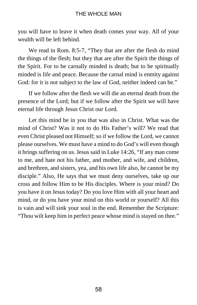you will have to leave it when death comes your way. All of your wealth will be left behind.

We read in Rom. 8:5-7, "They that are after the flesh do mind the things of the flesh; but they that are after the Spirit the things of the Spirit. For to be carnally minded is death; but to be spiritually minded is life and peace. Because the carnal mind is enmity against God: for it is not subject to the law of God, neither indeed can be."

If we follow after the flesh we will die an eternal death from the presence of the Lord; but if we follow after the Spirit we will have eternal life through Jesus Christ our Lord.

Let this mind be in you that was also in Christ. What was the mind of Christ? Was it not to do His Father's will? We read that even Christ pleased not Himself; so if we follow the Lord, we cannot please ourselves. We must have a mind to do God's will even though it brings suffering on us. Jesus said in Luke 14:26, "If any man come to me, and hate not his father, and mother, and wife, and children, and brethren, and sisters, yea, and his own life also, he cannot be my disciple." Also, He says that we must deny ourselves, take up our cross and follow Him to be His disciples. Where is your mind? Do you have it on Jesus today? Do you love Him with all your heart and mind, or do you have your mind on this world or yourself? All this is vain and will sink your soul in the end. Remember the Scripture: "Thou wilt keep him in perfect peace whose mind is stayed on thee."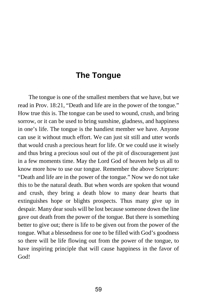### **The Tongue**

The tongue is one of the smallest members that we have, but we read in Prov. 18:21, "Death and life are in the power of the tongue." How true this is. The tongue can be used to wound, crush, and bring sorrow, or it can be used to bring sunshine, gladness, and happiness in one's life. The tongue is the handiest member we have. Anyone can use it without much effort. We can just sit still and utter words that would crush a precious heart for life. Or we could use it wisely and thus bring a precious soul out of the pit of discouragement just in a few moments time. May the Lord God of heaven help us all to know more how to use our tongue. Remember the above Scripture: "Death and life are in the power of the tongue." Now we do not take this to be the natural death. But when words are spoken that wound and crush, they bring a death blow to many dear hearts that extinguishes hope or blights prospects. Thus many give up in despair. Many dear souls will be lost because someone down the line gave out death from the power of the tongue. But there is something better to give out; there is life to be given out from the power of the tongue. What a blessedness for one to be filled with God's goodness so there will be life flowing out from the power of the tongue, to have inspiring principle that will cause happiness in the favor of God!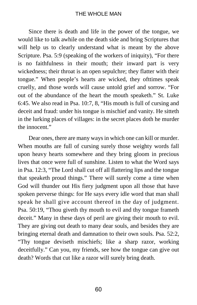Since there is death and life in the power of the tongue, we would like to talk awhile on the death side and bring Scriptures that will help us to clearly understand what is meant by the above Scripture. Psa. 5:9 (speaking of the workers of iniquity), "For there is no faithfulness in their mouth; their inward part is very wickedness; their throat is an open sepulchre; they flatter with their tongue." When people's hearts are wicked, they ofttimes speak cruelly, and those words will cause untold grief and sorrow. "For out of the abundance of the heart the mouth speaketh." St. Luke 6:45. We also read in Psa. 10:7, 8, "His mouth is full of cursing and deceit and fraud: under his tongue is mischief and vanity. He sitteth in the lurking places of villages: in the secret places doth he murder the innocent."

Dear ones, there are many ways in which one can kill or murder. When mouths are full of cursing surely those weighty words fall upon heavy hearts somewhere and they bring gloom in precious lives that once were full of sunshine. Listen to what the Word says in Psa. 12:3, "The Lord shall cut off all flattering lips and the tongue that speaketh proud things." There will surely come a time when God will thunder out His fiery judgment upon all those that have spoken perverse things: for He says every idle word that man shall speak he shall give account thereof in the day of judgment. Psa. 50:19, "Thou giveth thy mouth to evil and thy tongue frameth deceit." Many in these days of peril are giving their mouth to evil. They are giving out death to many dear souls, and besides they are bringing eternal death and damnation to their own souls. Psa. 52:2, "Thy tongue deviseth mischiefs; like a sharp razor, working deceitfully." Can you, my friends, see how the tongue can give out death? Words that cut like a razor will surely bring death.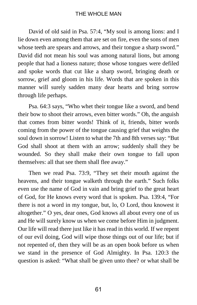David of old said in Psa. 57:4, "My soul is among lions: and I lie down even among them that are set on fire, even the sons of men whose teeth are spears and arrows, and their tongue a sharp sword." David did not mean his soul was among natural lions, but among people that had a lioness nature; those whose tongues were defiled and spoke words that cut like a sharp sword, bringing death or sorrow, grief and gloom in his life. Words that are spoken in this manner will surely sadden many dear hearts and bring sorrow through life perhaps.

Psa. 64:3 says, "Who whet their tongue like a sword, and bend their bow to shoot their arrows, even bitter words." Oh, the anguish that comes from bitter words! Think of it, friends, bitter words coming from the power of the tongue causing grief that weights the soul down in sorrow! Listen to what the 7th and 8th verses say: "But God shall shoot at them with an arrow; suddenly shall they be wounded. So they shall make their own tongue to fall upon themselves: all that see them shall flee away."

Then we read Psa. 73:9, "They set their mouth against the heavens, and their tongue walketh through the earth." Such folks even use the name of God in vain and bring grief to the great heart of God, for He knows every word that is spoken. Psa. 139:4, "For there is not a word in my tongue, but, lo, O Lord, thou knowest it altogether." O yes, dear ones, God knows all about every one of us and He will surely know us when we come before Him in judgment. Our life will read there just like it has read in this world. If we repent of our evil doing, God will wipe those things out of our life; but if not repented of, then they will be as an open book before us when we stand in the presence of God Almighty. In Psa. 120:3 the question is asked: "What shall be given unto thee? or what shall be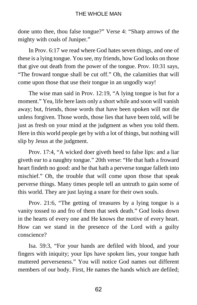done unto thee, thou false tongue?" Verse 4: "Sharp arrows of the mighty with coals of Juniper."

In Prov. 6:17 we read where God hates seven things, and one of these is a lying tongue. You see, my friends, how God looks on those that give out death from the power of the tongue. Prov. 10:31 says, "The froward tongue shall be cut off." Oh, the calamities that will come upon those that use their tongue in an ungodly way!

The wise man said in Prov. 12:19, "A lying tongue is but for a moment." Yea, life here lasts only a short while and soon will vanish away; but, friends, those words that have been spoken will not die unless forgiven. Those words, those lies that have been told, will be just as fresh on your mind at the judgment as when you told them. Here in this world people get by with a lot of things, but nothing will slip by Jesus at the judgment.

Prov. 17:4, "A wicked doer giveth heed to false lips: and a liar giveth ear to a naughty tongue." 20th verse: "He that hath a froward heart findeth no good: and he that hath a perverse tongue falleth into mischief." Oh, the trouble that will come upon those that speak perverse things. Many times people tell an untruth to gain some of this world. They are just laying a snare for their own souls.

Prov. 21:6, "The getting of treasures by a lying tongue is a vanity tossed to and fro of them that seek death." God looks down in the hearts of every one and He knows the motive of every heart. How can we stand in the presence of the Lord with a guilty conscience?

Isa. 59:3, "For your hands are defiled with blood, and your fingers with iniquity; your lips have spoken lies, your tongue hath muttered perverseness." You will notice God names out different members of our body. First, He names the hands which are defiled;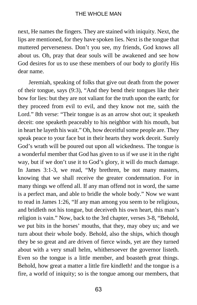next, He names the fingers. They are stained with iniquity. Next, the lips are mentioned, for they have spoken lies. Next is the tongue that muttered perverseness. Don't you see, my friends, God knows all about us. Oh, pray that dear souls will be awakened and see how God desires for us to use these members of our body to glorify His dear name.

Jeremiah, speaking of folks that give out death from the power of their tongue, says (9:3), "And they bend their tongues like their bow for lies: but they are not valiant for the truth upon the earth; for they proceed from evil to evil, and they know not me, saith the Lord." 8th verse: "Their tongue is as an arrow shot out; it speaketh deceit: one speaketh peaceably to his neighbor with his mouth, but in heart he layeth his wait." Oh, how deceitful some people are. They speak peace to your face but in their hearts they work deceit. Surely God's wrath will be poured out upon all wickedness. The tongue is a wonderful member that God has given to us if we use it in the right way, but if we don't use it to God's glory, it will do much damage. In James 3:1-3, we read, "My brethren, be not many masters, knowing that we shall receive the greater condemnation. For in many things we offend all. If any man offend not in word, the same is a perfect man, and able to bridle the whole body." Now we want to read in James 1:26, "If any man among you seem to be religious, and bridleth not his tongue, but deceiveth his own heart, this man's religion is vain." Now, back to the 3rd chapter, verses 3-8, "Behold, we put bits in the horses' mouths, that they, may obey us; and we turn about their whole body. Behold, also the ships, which though they be so great and are driven of fierce winds, yet are they turned about with a very small helm, whithersoever the governor listeth. Even so the tongue is a little member, and boasteth great things. Behold, how great a matter a little fire kindleth! and the tongue is a fire, a world of iniquity; so is the tongue among our members, that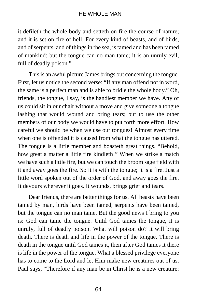it defileth the whole body and setteth on fire the course of nature; and it is set on fire of hell. For every kind of beasts, and of birds, and of serpents, and of things in the sea, is tamed and has been tamed of mankind: but the tongue can no man tame; it is an unruly evil, full of deadly poison."

This is an awful picture James brings out concerning the tongue. First, let us notice the second verse: "If any man offend not in word, the same is a perfect man and is able to bridle the whole body." Oh, friends, the tongue, I say, is the handiest member we have. Any of us could sit in our chair without a move and give someone a tongue lashing that would wound and bring tears; but to use the other members of our body we would have to put forth more effort. How careful we should be when we use our tongues! Almost every time when one is offended it is caused from what the tongue has uttered. The tongue is a little member and boasteth great things. "Behold, how great a matter a little fire kindleth!" When we strike a match we have such a little fire, but we can touch the broom sage field with it and away goes the fire. So it is with the tongue; it is a fire. Just a little word spoken out of the order of God, and away goes the fire. It devours wherever it goes. It wounds, brings grief and tears.

Dear friends, there are better things for us. All beasts have been tamed by man, birds have been tamed, serpents have been tamed, but the tongue can no man tame. But the good news I bring to you is: God can tame the tongue. Until God tames the tongue, it is unruly, full of deadly poison. What will poison do? It will bring death. There is death and life in the power of the tongue. There is death in the tongue until God tames it, then after God tames it there is life in the power of the tongue. What a blessed privilege everyone has to come to the Lord and let Him make new creatures out of us. Paul says, "Therefore if any man be in Christ he is a new creature: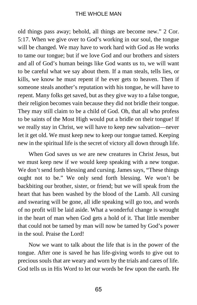### THE WHOLE MAN

old things pass away; behold, all things are become new." 2 Cor. 5:17. When we give over to God's working in our soul, the tongue will be changed. We may have to work hard with God as He works to tame our tongue; but if we love God and our brothers and sisters and all of God's human beings like God wants us to, we will want to be careful what we say about them. If a man steals, tells lies, or kills, we know he must repent if he ever gets to heaven. Then if someone steals another's reputation with his tongue, he will have to repent. Many folks get saved, but as they give way to a false tongue, their religion becomes vain because they did not bridle their tongue. They may still claim to be a child of God. Oh, that all who profess to be saints of the Most High would put a bridle on their tongue! If we really stay in Christ, we will have to keep new salvation—never let it get old. We must keep new to keep our tongue tamed. Keeping new in the spiritual life is the secret of victory all down through life.

When God saves us we are new creatures in Christ Jesus, but we must keep new if we would keep speaking with a new tongue. We don't send forth blessing and cursing. James says, "These things ought not to be." We only send forth blessing. We won't be backbiting our brother, sister, or friend; but we will speak from the heart that has been washed by the blood of the Lamb. All cursing and swearing will be gone, all idle speaking will go too, and words of no profit will be laid aside. What a wonderful change is wrought in the heart of man when God gets a hold of it. That little member that could not be tamed by man will now be tamed by God's power in the soul. Praise the Lord!

Now we want to talk about the life that is in the power of the tongue. After one is saved he has life-giving words to give out to precious souls that are weary and worn by the trials and cares of life. God tells us in His Word to let our words be few upon the earth. He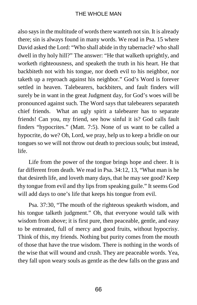also says in the multitude of words there wanteth not sin. It is already there; sin is always found in many words. We read in Psa. 15 where David asked the Lord: "Who shall abide in thy tabernacle? who shall dwell in thy holy hill?" The answer: "He that walketh uprightly, and worketh righteousness, and speaketh the truth in his heart. He that backbiteth not with his tongue, nor doeth evil to his neighbor, nor taketh up a reproach against his neighbor." God's Word is forever settled in heaven. Talebearers, backbiters, and fault finders will surely be in want in the great Judgment day, for God's woes will be pronounced against such. The Word says that talebearers separateth chief friends. What an ugly spirit a talebearer has to separate friends! Can you, my friend, see how sinful it is? God calls fault finders "hypocrites." (Matt. 7:5). None of us want to be called a hypocrite, do we? Oh, Lord, we pray, help us to keep a bridle on our tongues so we will not throw out death to precious souls; but instead, life.

Life from the power of the tongue brings hope and cheer. It is far different from death. We read in Psa. 34:12, 13, "What man is he that desireth life, and loveth many days, that he may see good? Keep thy tongue from evil and thy lips from speaking guile." It seems God will add days to one's life that keeps his tongue from evil.

Psa. 37:30, "The mouth of the righteous speaketh wisdom, and his tongue talketh judgment." Oh, that everyone would talk with wisdom from above; it is first pure, then peaceable, gentle, and easy to be entreated, full of mercy and good fruits, without hypocrisy. Think of this, my friends. Nothing but purity comes from the mouth of those that have the true wisdom. There is nothing in the words of the wise that will wound and crush. They are peaceable words. Yea, they fall upon weary souls as gentle as the dew falls on the grass and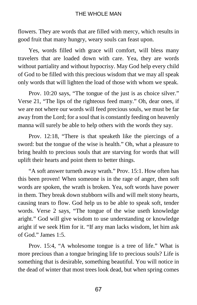flowers. They are words that are filled with mercy, which results in good fruit that many hungry, weary souls can feast upon.

Yes, words filled with grace will comfort, will bless many travelers that are loaded down with care. Yea, they are words without partiality and without hypocrisy. May God help every child of God to be filled with this precious wisdom that we may all speak only words that will lighten the load of those with whom we speak.

Prov. 10:20 says, "The tongue of the just is as choice silver." Verse 21, "The lips of the righteous feed many." Oh, dear ones, if we are not where our words will feed precious souls, we must be far away from the Lord; for a soul that is constantly feeding on heavenly manna will surely be able to help others with the words they say.

Prov. 12:18, "There is that speaketh like the piercings of a sword: but the tongue of the wise is health." Oh, what a pleasure to bring health to precious souls that are starving for words that will uplift their hearts and point them to better things.

"A soft answer turneth away wrath." Prov. 15:1. How often has this been proven! When someone is in the rage of anger, then soft words are spoken, the wrath is broken. Yea, soft words have power in them. They break down stubborn wills and will melt stony hearts, causing tears to flow. God help us to be able to speak soft, tender words. Verse 2 says, "The tongue of the wise useth knowledge aright." God will give wisdom to use understanding or knowledge aright if we seek Him for it. "If any man lacks wisdom, let him ask of God." James 1:5.

Prov. 15:4, "A wholesome tongue is a tree of life." What is more precious than a tongue bringing life to precious souls? Life is something that is desirable, something beautiful. You will notice in the dead of winter that most trees look dead, but when spring comes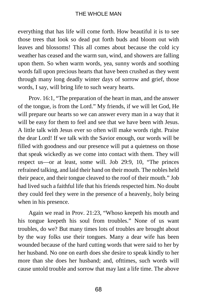everything that has life will come forth. How beautiful it is to see those trees that look so dead put forth buds and bloom out with leaves and blossoms! This all comes about because the cold icy weather has ceased and the warm sun, wind, and showers are falling upon them. So when warm words, yea, sunny words and soothing words fall upon precious hearts that have been crushed as they went through many long deadly winter days of sorrow and grief, those words, I say, will bring life to such weary hearts.

Prov. 16:1, "The preparation of the heart in man, and the answer of the tongue, is from the Lord." My friends, if we will let God, He will prepare our hearts so we can answer every man in a way that it will be easy for them to feel and see that we have been with Jesus. A little talk with Jesus ever so often will make words right. Praise the dear Lord! If we talk with the Savior enough, our words will be filled with goodness and our presence will put a quietness on those that speak wickedly as we come into contact with them. They will respect us—or at least, some will. Job 29:9, 10, "The princes refrained talking, and laid their hand on their mouth. The nobles held their peace, and their tongue cleaved to the roof of their mouth." Job had lived such a faithful life that his friends respected him. No doubt they could feel they were in the presence of a heavenly, holy being when in his presence.

Again we read in Prov. 21:23, "Whoso keepeth his mouth and his tongue keepeth his soul from troubles." None of us want troubles, do we? But many times lots of troubles are brought about by the way folks use their tongues. Many a dear wife has been wounded because of the hard cutting words that were said to her by her husband. No one on earth does she desire to speak kindly to her more than she does her husband; and, ofttimes, such words will cause untold trouble and sorrow that may last a life time. The above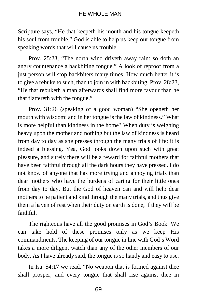Scripture says, "He that keepeth his mouth and his tongue keepeth his soul from trouble." God is able to help us keep our tongue from speaking words that will cause us trouble.

Prov. 25:23, "The north wind driveth away rain: so doth an angry countenance a backbiting tongue." A look of reproof from a just person will stop backbiters many times. How much better it is to give a rebuke to such, than to join in with backbiting. Prov. 28:23, "He that rebuketh a man afterwards shall find more favour than he that flattereth with the tongue."

Prov. 31:26 (speaking of a good woman) "She openeth her mouth with wisdom: and in her tongue is the law of kindness." What is more helpful than kindness in the home? When duty is weighing heavy upon the mother and nothing but the law of kindness is heard from day to day as she presses through the many trials of life: it is indeed a blessing. Yea, God looks down upon such with great pleasure, and surely there will be a reward for faithful mothers that have been faithful through all the dark hours they have pressed. I do not know of anyone that has more trying and annoying trials than dear mothers who have the burdens of caring for their little ones from day to day. But the God of heaven can and will help dear mothers to be patient and kind through the many trials, and thus give them a haven of rest when their duty on earth is done, if they will be faithful.

The righteous have all the good promises in God's Book. We can take hold of these promises only as we keep His commandments. The keeping of our tongue in line with God's Word takes a more diligent watch than any of the other members of our body. As I have already said, the tongue is so handy and easy to use.

In Isa. 54:17 we read, "No weapon that is formed against thee shall prosper; and every tongue that shall rise against thee in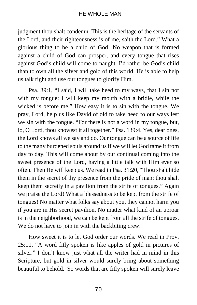judgment thou shalt condemn. This is the heritage of the servants of the Lord, and their righteousness is of me, saith the Lord." What a glorious thing to be a child of God! No weapon that is formed against a child of God can prosper, and every tongue that rises against God's child will come to naught. I'd rather be God's child than to own all the silver and gold of this world. He is able to help us talk right and use our tongues to glorify Him.

Psa. 39:1, "I said, I will take heed to my ways, that I sin not with my tongue: I will keep my mouth with a bridle, while the wicked is before me." How easy it is to sin with the tongue. We pray, Lord, help us like David of old to take heed to our ways lest we sin with the tongue. "For there is not a word in my tongue, but, lo, O Lord, thou knowest it all together." Psa. 139:4. Yes, dear ones, the Lord knows all we say and do. Our tongue can be a source of life to the many burdened souls around us if we will let God tame it from day to day. This will come about by our continual coming into the sweet presence of the Lord, having a little talk with Him ever so often. Then He will keep us. We read in Psa. 31:20, "Thou shalt hide them in the secret of thy presence from the pride of man: thou shalt keep them secretly in a pavilion from the strife of tongues." Again we praise the Lord! What a blessedness to be kept from the strife of tongues! No matter what folks say about you, they cannot harm you if you are in His secret pavilion. No matter what kind of an uproar is in the neighborhood, we can be kept from all the strife of tongues. We do not have to join in with the backbiting crew.

How sweet it is to let God order our words. We read in Prov. 25:11, "A word fitly spoken is like apples of gold in pictures of silver." I don't know just what all the writer had in mind in this Scripture, but gold in silver would surely bring about something beautiful to behold. So words that are fitly spoken will surely leave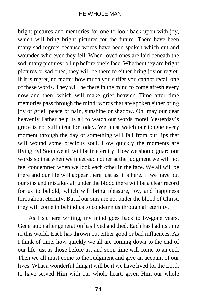bright pictures and memories for one to look back upon with joy, which will bring bright pictures for the future. There have been many sad regrets because words have been spoken which cut and wounded wherever they fell. When loved ones are laid beneath the sod, many pictures roll up before one's face. Whether they are bright pictures or sad ones, they will be there to either bring joy or regret. If it is regret, no matter how much you suffer you cannot recall one of these words. They will be there in the mind to come afresh every now and then, which will make grief heavier. Time after time memories pass through the mind; words that are spoken either bring joy or grief, peace or pain, sunshine or shadow. Oh, may our dear heavenly Father help us all to watch our words more! Yesterday's grace is not sufficient for today. We must watch our tongue every moment through the day or something will fall from our lips that will wound some precious soul. How quickly the moments are flying by! Soon we all will be in eternity! How we should guard our words so that when we meet each other at the judgment we will not feel condemned when we look each other in the face. We all will be there and our life will appear there just as it is here. If we have put our sins and mistakes all under the blood there will be a clear record for us to behold, which will bring pleasure, joy, and happiness throughout eternity. But if our sins are not under the blood of Christ, they will come in behind us to condemn us through all eternity.

As I sit here writing, my mind goes back to by-gone years. Generation after generation has lived and died. Each has had its time in this world. Each has thrown out either good or bad influences. As I think of time, how quickly we all are coming down to the end of our life just as those before us, and soon time will come to an end. Then we all must come to the Judgment and give an account of our lives. What a wonderful thing it will be if we have lived for the Lord, to have served Him with our whole heart, given Him our whole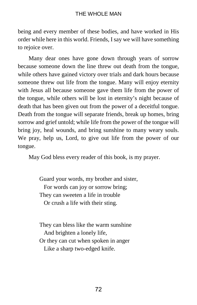being and every member of these bodies, and have worked in His order while here in this world. Friends, I say we will have something to rejoice over.

Many dear ones have gone down through years of sorrow because someone down the line threw out death from the tongue, while others have gained victory over trials and dark hours because someone threw out life from the tongue. Many will enjoy eternity with Jesus all because someone gave them life from the power of the tongue, while others will be lost in eternity's night because of death that has been given out from the power of a deceitful tongue. Death from the tongue will separate friends, break up homes, bring sorrow and grief untold; while life from the power of the tongue will bring joy, heal wounds, and bring sunshine to many weary souls. We pray, help us, Lord, to give out life from the power of our tongue.

May God bless every reader of this book, is my prayer.

Guard your words, my brother and sister, For words can joy or sorrow bring; They can sweeten a life in trouble Or crush a life with their sting.

They can bless like the warm sunshine And brighten a lonely life, Or they can cut when spoken in anger Like a sharp two-edged knife.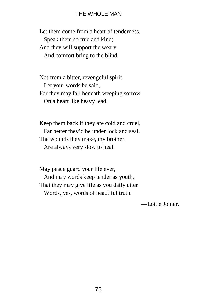Let them come from a heart of tenderness, Speak them so true and kind; And they will support the weary And comfort bring to the blind.

Not from a bitter, revengeful spirit Let your words be said, For they may fall beneath weeping sorrow On a heart like heavy lead.

Keep them back if they are cold and cruel, Far better they'd be under lock and seal. The wounds they make, my brother, Are always very slow to heal.

May peace guard your life ever, And may words keep tender as youth, That they may give life as you daily utter Words, yes, words of beautiful truth.

—Lottie Joiner.